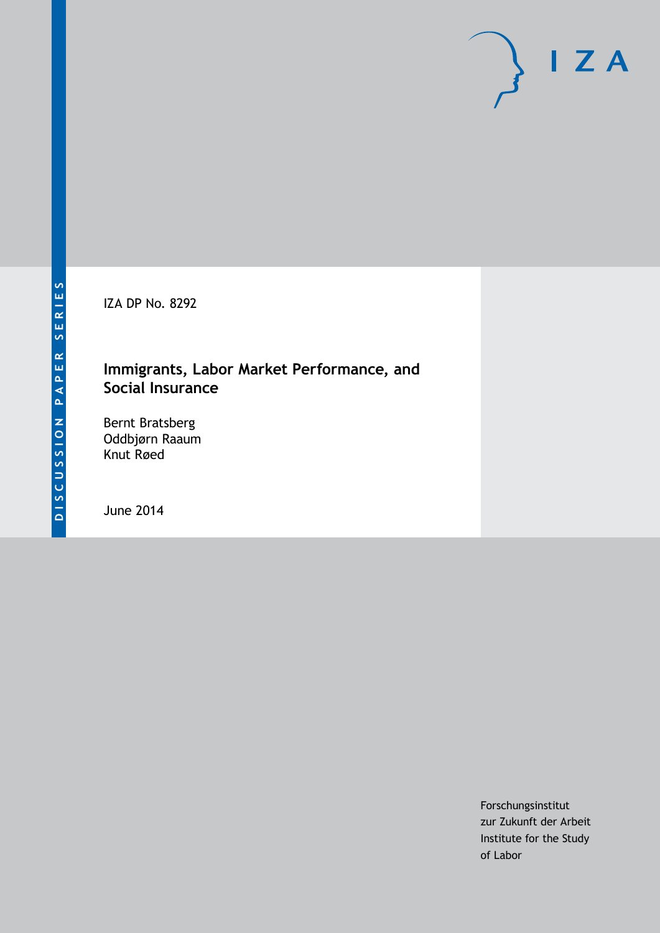IZA DP No. 8292

## **Immigrants, Labor Market Performance, and Social Insurance**

Bernt Bratsberg Oddbjørn Raaum Knut Røed

June 2014

Forschungsinstitut zur Zukunft der Arbeit Institute for the Study of Labor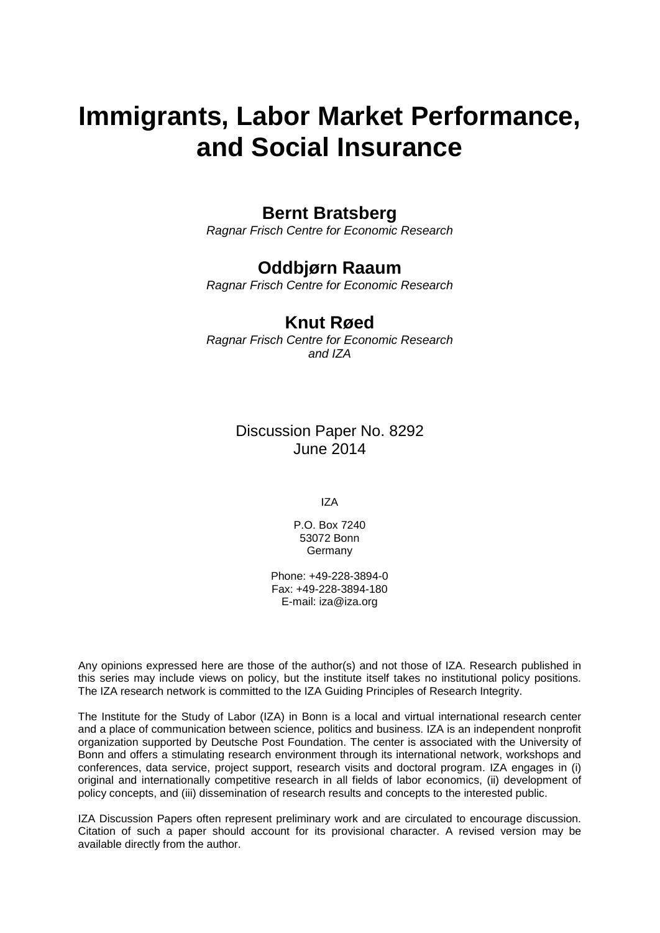# **Immigrants, Labor Market Performance, and Social Insurance**

### **Bernt Bratsberg**

*Ragnar Frisch Centre for Economic Research*

## **Oddbjørn Raaum**

*Ragnar Frisch Centre for Economic Research*

#### **Knut Røed**

*Ragnar Frisch Centre for Economic Research and IZA*

> Discussion Paper No. 8292 June 2014

> > IZA

P.O. Box 7240 53072 Bonn **Germany** 

Phone: +49-228-3894-0 Fax: +49-228-3894-180 E-mail: [iza@iza.org](mailto:iza@iza.org)

Any opinions expressed here are those of the author(s) and not those of IZA. Research published in this series may include views on policy, but the institute itself takes no institutional policy positions. The IZA research network is committed to the IZA Guiding Principles of Research Integrity.

The Institute for the Study of Labor (IZA) in Bonn is a local and virtual international research center and a place of communication between science, politics and business. IZA is an independent nonprofit organization supported by Deutsche Post Foundation. The center is associated with the University of Bonn and offers a stimulating research environment through its international network, workshops and conferences, data service, project support, research visits and doctoral program. IZA engages in (i) original and internationally competitive research in all fields of labor economics, (ii) development of policy concepts, and (iii) dissemination of research results and concepts to the interested public.

<span id="page-1-0"></span>IZA Discussion Papers often represent preliminary work and are circulated to encourage discussion. Citation of such a paper should account for its provisional character. A revised version may be available directly from the author.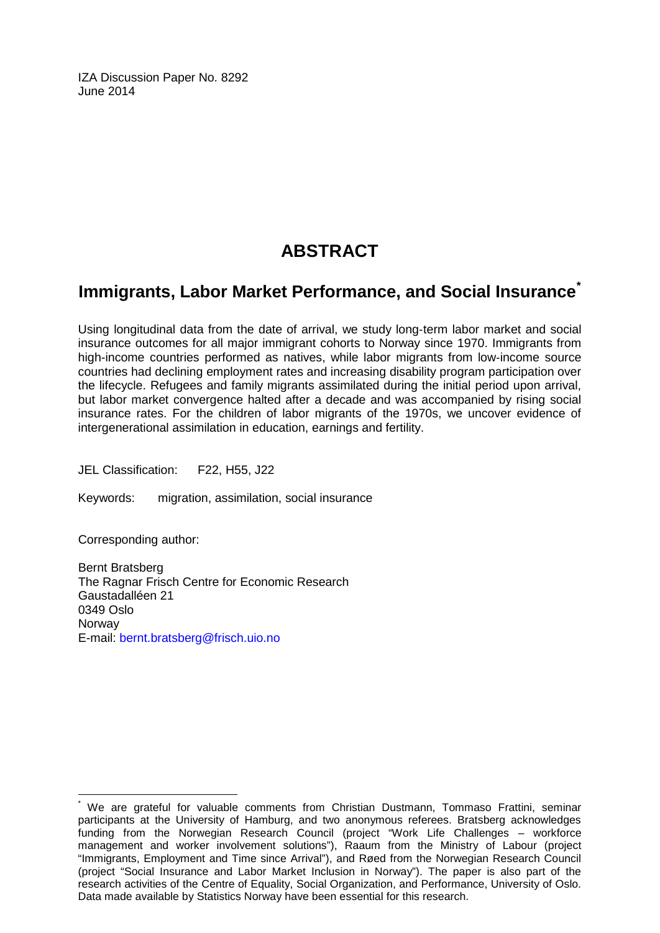IZA Discussion Paper No. 8292 June 2014

# **ABSTRACT**

## **Immigrants, Labor Market Performance, and Social Insurance[\\*](#page-1-0)**

Using longitudinal data from the date of arrival, we study long‐term labor market and social insurance outcomes for all major immigrant cohorts to Norway since 1970. Immigrants from high-income countries performed as natives, while labor migrants from low-income source countries had declining employment rates and increasing disability program participation over the lifecycle. Refugees and family migrants assimilated during the initial period upon arrival, but labor market convergence halted after a decade and was accompanied by rising social insurance rates. For the children of labor migrants of the 1970s, we uncover evidence of intergenerational assimilation in education, earnings and fertility.

JEL Classification: F22, H55, J22

Keywords: migration, assimilation, social insurance

Corresponding author:

Bernt Bratsberg The Ragnar Frisch Centre for Economic Research Gaustadalléen 21 0349 Oslo Norway E-mail: [bernt.bratsberg@frisch.uio.no](mailto:bernt.bratsberg@frisch.uio.no)

We are grateful for valuable comments from Christian Dustmann, Tommaso Frattini, seminar participants at the University of Hamburg, and two anonymous referees. Bratsberg acknowledges funding from the Norwegian Research Council (project "Work Life Challenges – workforce management and worker involvement solutions"), Raaum from the Ministry of Labour (project "Immigrants, Employment and Time since Arrival"), and Røed from the Norwegian Research Council (project "Social Insurance and Labor Market Inclusion in Norway"). The paper is also part of the research activities of the Centre of Equality, Social Organization, and Performance, University of Oslo. Data made available by Statistics Norway have been essential for this research.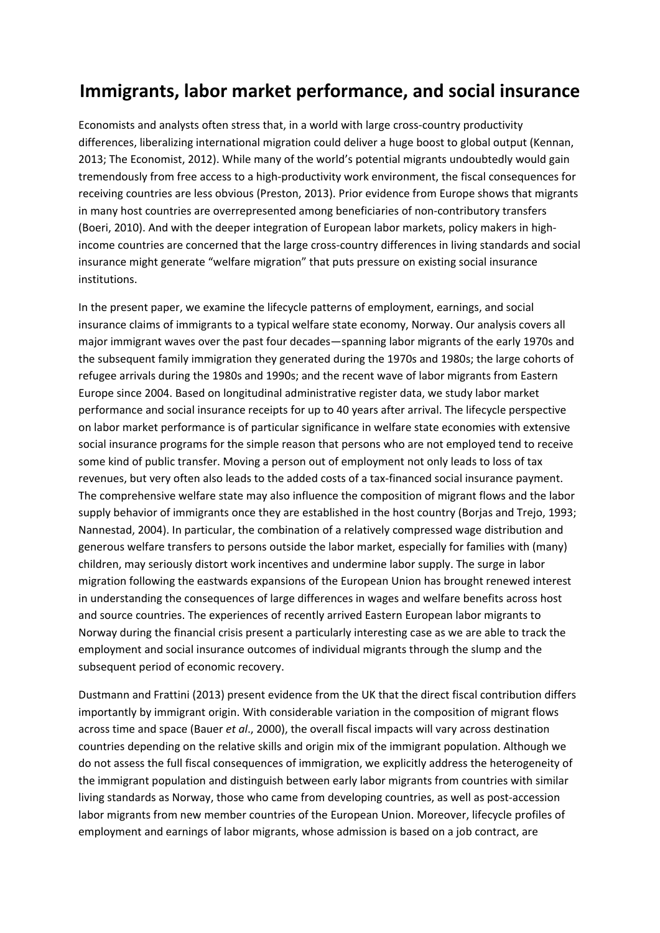# **Immigrants, labor market performance, and social insurance**

Economists and analysts often stress that, in a world with large cross-country productivity differences, liberalizing international migration could deliver a huge boost to global output (Kennan, 2013; The Economist, 2012). While many of the world's potential migrants undoubtedly would gain tremendously from free access to a high‐productivity work environment, the fiscal consequences for receiving countries are less obvious (Preston, 2013). Prior evidence from Europe shows that migrants in many host countries are overrepresented among beneficiaries of non‐contributory transfers (Boeri, 2010). And with the deeper integration of European labor markets, policy makers in high‐ income countries are concerned that the large cross‐country differences in living standards and social insurance might generate "welfare migration" that puts pressure on existing social insurance institutions.

In the present paper, we examine the lifecycle patterns of employment, earnings, and social insurance claims of immigrants to a typical welfare state economy, Norway. Our analysis covers all major immigrant waves over the past four decades—spanning labor migrants of the early 1970s and the subsequent family immigration they generated during the 1970s and 1980s; the large cohorts of refugee arrivals during the 1980s and 1990s; and the recent wave of labor migrants from Eastern Europe since 2004. Based on longitudinal administrative register data, we study labor market performance and social insurance receipts for up to 40 years after arrival. The lifecycle perspective on labor market performance is of particular significance in welfare state economies with extensive social insurance programs for the simple reason that persons who are not employed tend to receive some kind of public transfer. Moving a person out of employment not only leads to loss of tax revenues, but very often also leads to the added costs of a tax-financed social insurance payment. The comprehensive welfare state may also influence the composition of migrant flows and the labor supply behavior of immigrants once they are established in the host country (Borjas and Trejo, 1993; Nannestad, 2004). In particular, the combination of a relatively compressed wage distribution and generous welfare transfers to persons outside the labor market, especially for families with (many) children, may seriously distort work incentives and undermine labor supply. The surge in labor migration following the eastwards expansions of the European Union has brought renewed interest in understanding the consequences of large differences in wages and welfare benefits across host and source countries. The experiences of recently arrived Eastern European labor migrants to Norway during the financial crisis present a particularly interesting case as we are able to track the employment and social insurance outcomes of individual migrants through the slump and the subsequent period of economic recovery.

Dustmann and Frattini (2013) present evidence from the UK that the direct fiscal contribution differs importantly by immigrant origin. With considerable variation in the composition of migrant flows across time and space (Bauer *et al*., 2000), the overall fiscal impacts will vary across destination countries depending on the relative skills and origin mix of the immigrant population. Although we do not assess the full fiscal consequences of immigration, we explicitly address the heterogeneity of the immigrant population and distinguish between early labor migrants from countries with similar living standards as Norway, those who came from developing countries, as well as post‐accession labor migrants from new member countries of the European Union. Moreover, lifecycle profiles of employment and earnings of labor migrants, whose admission is based on a job contract, are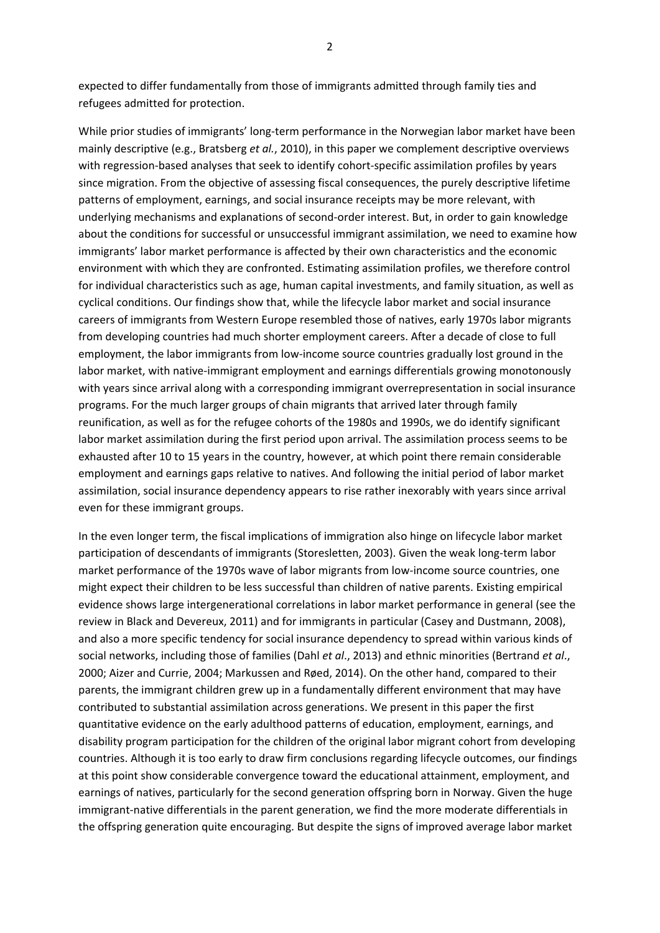expected to differ fundamentally from those of immigrants admitted through family ties and refugees admitted for protection.

While prior studies of immigrants' long-term performance in the Norwegian labor market have been mainly descriptive (e.g., Bratsberg *et al.*, 2010), in this paper we complement descriptive overviews with regression-based analyses that seek to identify cohort-specific assimilation profiles by years since migration. From the objective of assessing fiscal consequences, the purely descriptive lifetime patterns of employment, earnings, and social insurance receipts may be more relevant, with underlying mechanisms and explanations of second‐order interest. But, in order to gain knowledge about the conditions for successful or unsuccessful immigrant assimilation, we need to examine how immigrants' labor market performance is affected by their own characteristics and the economic environment with which they are confronted. Estimating assimilation profiles, we therefore control for individual characteristics such as age, human capital investments, and family situation, as well as cyclical conditions. Our findings show that, while the lifecycle labor market and social insurance careers of immigrants from Western Europe resembled those of natives, early 1970s labor migrants from developing countries had much shorter employment careers. After a decade of close to full employment, the labor immigrants from low-income source countries gradually lost ground in the labor market, with native-immigrant employment and earnings differentials growing monotonously with years since arrival along with a corresponding immigrant overrepresentation in social insurance programs. For the much larger groups of chain migrants that arrived later through family reunification, as well as for the refugee cohorts of the 1980s and 1990s, we do identify significant labor market assimilation during the first period upon arrival. The assimilation process seems to be exhausted after 10 to 15 years in the country, however, at which point there remain considerable employment and earnings gaps relative to natives. And following the initial period of labor market assimilation, social insurance dependency appears to rise rather inexorably with years since arrival even for these immigrant groups.

In the even longer term, the fiscal implications of immigration also hinge on lifecycle labor market participation of descendants of immigrants (Storesletten, 2003). Given the weak long-term labor market performance of the 1970s wave of labor migrants from low-income source countries, one might expect their children to be less successful than children of native parents. Existing empirical evidence shows large intergenerational correlations in labor market performance in general (see the review in Black and Devereux, 2011) and for immigrants in particular (Casey and Dustmann, 2008), and also a more specific tendency for social insurance dependency to spread within various kinds of social networks, including those of families (Dahl *et al*., 2013) and ethnic minorities (Bertrand *et al*., 2000; Aizer and Currie, 2004; Markussen and Røed, 2014). On the other hand, compared to their parents, the immigrant children grew up in a fundamentally different environment that may have contributed to substantial assimilation across generations. We present in this paper the first quantitative evidence on the early adulthood patterns of education, employment, earnings, and disability program participation for the children of the original labor migrant cohort from developing countries. Although it is too early to draw firm conclusions regarding lifecycle outcomes, our findings at this point show considerable convergence toward the educational attainment, employment, and earnings of natives, particularly for the second generation offspring born in Norway. Given the huge immigrant-native differentials in the parent generation, we find the more moderate differentials in the offspring generation quite encouraging. But despite the signs of improved average labor market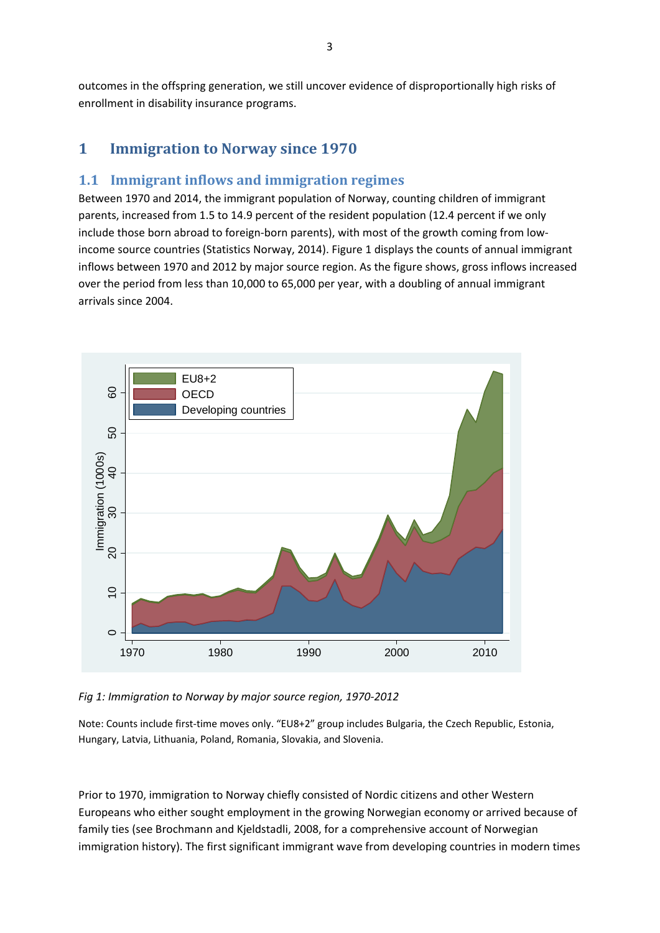outcomes in the offspring generation, we still uncover evidence of disproportionally high risks of enrollment in disability insurance programs.

#### **1 Immigration to Norway since 1970**

#### **1.1 Immigrant inflows and immigration regimes**

Between 1970 and 2014, the immigrant population of Norway, counting children of immigrant parents, increased from 1.5 to 14.9 percent of the resident population (12.4 percent if we only include those born abroad to foreign-born parents), with most of the growth coming from lowincome source countries (Statistics Norway, 2014). Figure 1 displays the counts of annual immigrant inflows between 1970 and 2012 by major source region. As the figure shows, gross inflows increased over the period from less than 10,000 to 65,000 per year, with a doubling of annual immigrant arrivals since 2004.



*Fig 1: Immigration to Norway by major source region, 1970‐2012*

Note: Counts include first-time moves only. "EU8+2" group includes Bulgaria, the Czech Republic, Estonia, Hungary, Latvia, Lithuania, Poland, Romania, Slovakia, and Slovenia.

Prior to 1970, immigration to Norway chiefly consisted of Nordic citizens and other Western Europeans who either sought employment in the growing Norwegian economy or arrived because of family ties (see Brochmann and Kjeldstadli, 2008, for a comprehensive account of Norwegian immigration history). The first significant immigrant wave from developing countries in modern times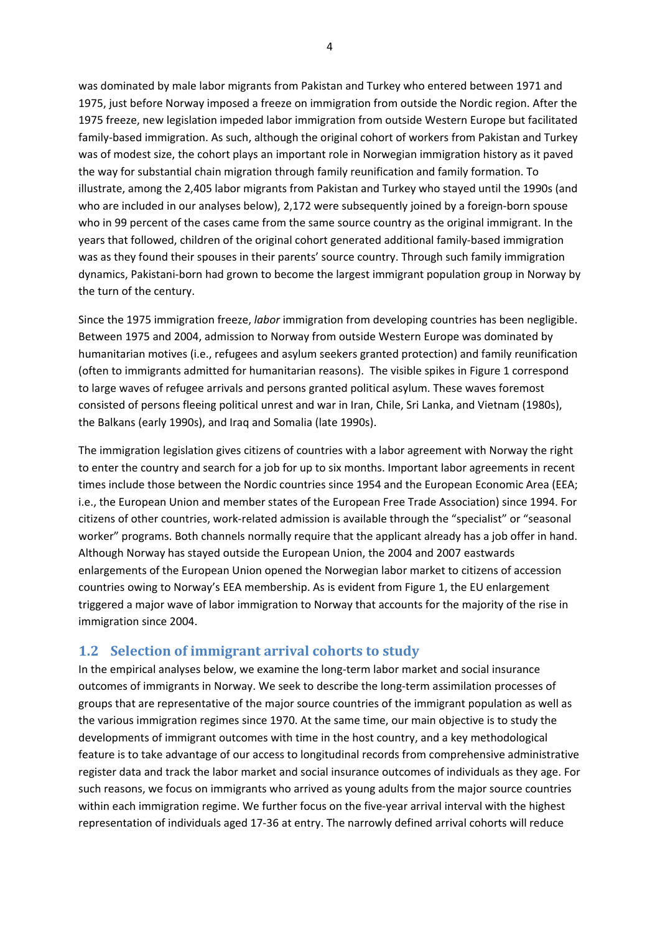was dominated by male labor migrants from Pakistan and Turkey who entered between 1971 and 1975, just before Norway imposed a freeze on immigration from outside the Nordic region. After the 1975 freeze, new legislation impeded labor immigration from outside Western Europe but facilitated family‐based immigration. As such, although the original cohort of workers from Pakistan and Turkey was of modest size, the cohort plays an important role in Norwegian immigration history as it paved the way for substantial chain migration through family reunification and family formation. To illustrate, among the 2,405 labor migrants from Pakistan and Turkey who stayed until the 1990s (and who are included in our analyses below), 2,172 were subsequently joined by a foreign-born spouse who in 99 percent of the cases came from the same source country as the original immigrant. In the years that followed, children of the original cohort generated additional family‐based immigration was as they found their spouses in their parents' source country. Through such family immigration dynamics, Pakistani‐born had grown to become the largest immigrant population group in Norway by the turn of the century.

Since the 1975 immigration freeze, *labor* immigration from developing countries has been negligible. Between 1975 and 2004, admission to Norway from outside Western Europe was dominated by humanitarian motives (i.e., refugees and asylum seekers granted protection) and family reunification (often to immigrants admitted for humanitarian reasons). The visible spikes in Figure 1 correspond to large waves of refugee arrivals and persons granted political asylum. These waves foremost consisted of persons fleeing political unrest and war in Iran, Chile, Sri Lanka, and Vietnam (1980s), the Balkans (early 1990s), and Iraq and Somalia (late 1990s).

The immigration legislation gives citizens of countries with a labor agreement with Norway the right to enter the country and search for a job for up to six months. Important labor agreements in recent times include those between the Nordic countries since 1954 and the European Economic Area (EEA; i.e., the European Union and member states of the European Free Trade Association) since 1994. For citizens of other countries, work‐related admission is available through the "specialist" or "seasonal worker" programs. Both channels normally require that the applicant already has a job offer in hand. Although Norway has stayed outside the European Union, the 2004 and 2007 eastwards enlargements of the European Union opened the Norwegian labor market to citizens of accession countries owing to Norway's EEA membership. As is evident from Figure 1, the EU enlargement triggered a major wave of labor immigration to Norway that accounts for the majority of the rise in immigration since 2004.

#### **1.2 Selection of immigrant arrival cohorts to study**

In the empirical analyses below, we examine the long-term labor market and social insurance outcomes of immigrants in Norway. We seek to describe the long‐term assimilation processes of groups that are representative of the major source countries of the immigrant population as well as the various immigration regimes since 1970. At the same time, our main objective is to study the developments of immigrant outcomes with time in the host country, and a key methodological feature is to take advantage of our access to longitudinal records from comprehensive administrative register data and track the labor market and social insurance outcomes of individuals as they age. For such reasons, we focus on immigrants who arrived as young adults from the major source countries within each immigration regime. We further focus on the five-year arrival interval with the highest representation of individuals aged 17‐36 at entry. The narrowly defined arrival cohorts will reduce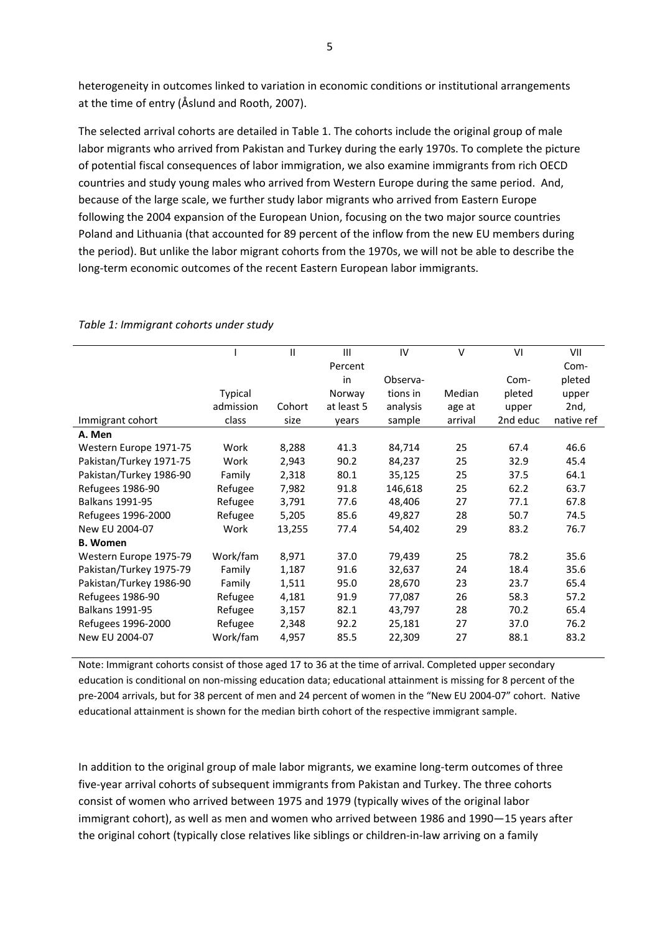heterogeneity in outcomes linked to variation in economic conditions or institutional arrangements at the time of entry (Åslund and Rooth, 2007).

The selected arrival cohorts are detailed in Table 1. The cohorts include the original group of male labor migrants who arrived from Pakistan and Turkey during the early 1970s. To complete the picture of potential fiscal consequences of labor immigration, we also examine immigrants from rich OECD countries and study young males who arrived from Western Europe during the same period. And, because of the large scale, we further study labor migrants who arrived from Eastern Europe following the 2004 expansion of the European Union, focusing on the two major source countries Poland and Lithuania (that accounted for 89 percent of the inflow from the new EU members during the period). But unlike the labor migrant cohorts from the 1970s, we will not be able to describe the long‐term economic outcomes of the recent Eastern European labor immigrants.

|                         |           | $\mathsf{II}$ | Ш          | IV       | $\vee$  | VI       | VII        |
|-------------------------|-----------|---------------|------------|----------|---------|----------|------------|
|                         |           |               | Percent    |          |         |          | Com-       |
|                         |           |               | in         | Observa- |         | Com-     | pleted     |
|                         | Typical   |               | Norway     | tions in | Median  | pleted   | upper      |
|                         | admission | Cohort        | at least 5 | analysis | age at  | upper    | 2nd,       |
| Immigrant cohort        | class     | size          | years      | sample   | arrival | 2nd educ | native ref |
| A. Men                  |           |               |            |          |         |          |            |
| Western Europe 1971-75  | Work      | 8,288         | 41.3       | 84,714   | 25      | 67.4     | 46.6       |
| Pakistan/Turkey 1971-75 | Work      | 2,943         | 90.2       | 84,237   | 25      | 32.9     | 45.4       |
| Pakistan/Turkey 1986-90 | Family    | 2,318         | 80.1       | 35,125   | 25      | 37.5     | 64.1       |
| Refugees 1986-90        | Refugee   | 7,982         | 91.8       | 146,618  | 25      | 62.2     | 63.7       |
| <b>Balkans 1991-95</b>  | Refugee   | 3,791         | 77.6       | 48,406   | 27      | 77.1     | 67.8       |
| Refugees 1996-2000      | Refugee   | 5,205         | 85.6       | 49,827   | 28      | 50.7     | 74.5       |
| New EU 2004-07          | Work      | 13,255        | 77.4       | 54,402   | 29      | 83.2     | 76.7       |
| <b>B.</b> Women         |           |               |            |          |         |          |            |
| Western Europe 1975-79  | Work/fam  | 8,971         | 37.0       | 79,439   | 25      | 78.2     | 35.6       |
| Pakistan/Turkey 1975-79 | Family    | 1,187         | 91.6       | 32,637   | 24      | 18.4     | 35.6       |
| Pakistan/Turkey 1986-90 | Family    | 1,511         | 95.0       | 28,670   | 23      | 23.7     | 65.4       |
| Refugees 1986-90        | Refugee   | 4,181         | 91.9       | 77,087   | 26      | 58.3     | 57.2       |
| <b>Balkans 1991-95</b>  | Refugee   | 3,157         | 82.1       | 43,797   | 28      | 70.2     | 65.4       |
| Refugees 1996-2000      | Refugee   | 2,348         | 92.2       | 25,181   | 27      | 37.0     | 76.2       |
| New EU 2004-07          | Work/fam  | 4,957         | 85.5       | 22,309   | 27      | 88.1     | 83.2       |
|                         |           |               |            |          |         |          |            |

#### *Table 1: Immigrant cohorts under study*

Note: Immigrant cohorts consist of those aged 17 to 36 at the time of arrival. Completed upper secondary education is conditional on non‐missing education data; educational attainment is missing for 8 percent of the pre‐2004 arrivals, but for 38 percent of men and 24 percent of women in the "New EU 2004‐07" cohort. Native educational attainment is shown for the median birth cohort of the respective immigrant sample.

In addition to the original group of male labor migrants, we examine long-term outcomes of three five‐year arrival cohorts of subsequent immigrants from Pakistan and Turkey. The three cohorts consist of women who arrived between 1975 and 1979 (typically wives of the original labor immigrant cohort), as well as men and women who arrived between 1986 and 1990—15 years after the original cohort (typically close relatives like siblings or children-in-law arriving on a family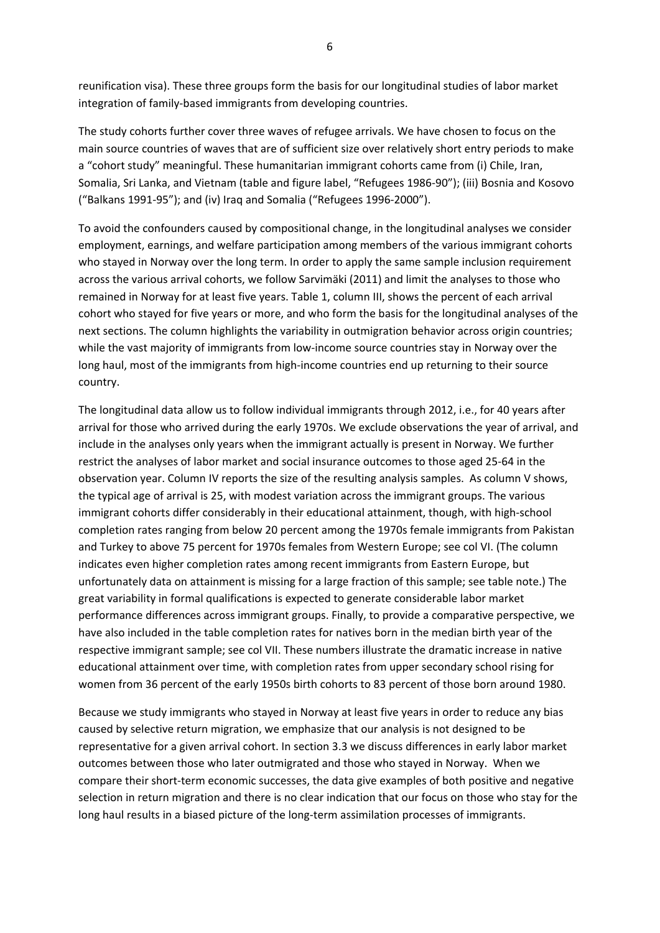reunification visa). These three groups form the basis for our longitudinal studies of labor market integration of family‐based immigrants from developing countries.

The study cohorts further cover three waves of refugee arrivals. We have chosen to focus on the main source countries of waves that are of sufficient size over relatively short entry periods to make a "cohort study" meaningful. These humanitarian immigrant cohorts came from (i) Chile, Iran, Somalia, Sri Lanka, and Vietnam (table and figure label, "Refugees 1986‐90"); (iii) Bosnia and Kosovo ("Balkans 1991‐95"); and (iv) Iraq and Somalia ("Refugees 1996‐2000").

To avoid the confounders caused by compositional change, in the longitudinal analyses we consider employment, earnings, and welfare participation among members of the various immigrant cohorts who stayed in Norway over the long term. In order to apply the same sample inclusion requirement across the various arrival cohorts, we follow Sarvimäki (2011) and limit the analyses to those who remained in Norway for at least five years. Table 1, column III, shows the percent of each arrival cohort who stayed for five years or more, and who form the basis for the longitudinal analyses of the next sections. The column highlights the variability in outmigration behavior across origin countries; while the vast majority of immigrants from low-income source countries stay in Norway over the long haul, most of the immigrants from high-income countries end up returning to their source country.

The longitudinal data allow us to follow individual immigrants through 2012, i.e., for 40 years after arrival for those who arrived during the early 1970s. We exclude observations the year of arrival, and include in the analyses only years when the immigrant actually is present in Norway. We further restrict the analyses of labor market and social insurance outcomes to those aged 25‐64 in the observation year. Column IV reports the size of the resulting analysis samples. As column V shows, the typical age of arrival is 25, with modest variation across the immigrant groups. The various immigrant cohorts differ considerably in their educational attainment, though, with high‐school completion rates ranging from below 20 percent among the 1970s female immigrants from Pakistan and Turkey to above 75 percent for 1970s females from Western Europe; see col VI. (The column indicates even higher completion rates among recent immigrants from Eastern Europe, but unfortunately data on attainment is missing for a large fraction of this sample; see table note.) The great variability in formal qualifications is expected to generate considerable labor market performance differences across immigrant groups. Finally, to provide a comparative perspective, we have also included in the table completion rates for natives born in the median birth year of the respective immigrant sample; see col VII. These numbers illustrate the dramatic increase in native educational attainment over time, with completion rates from upper secondary school rising for women from 36 percent of the early 1950s birth cohorts to 83 percent of those born around 1980.

Because we study immigrants who stayed in Norway at least five years in order to reduce any bias caused by selective return migration, we emphasize that our analysis is not designed to be representative for a given arrival cohort. In section 3.3 we discuss differences in early labor market outcomes between those who later outmigrated and those who stayed in Norway. When we compare their short-term economic successes, the data give examples of both positive and negative selection in return migration and there is no clear indication that our focus on those who stay for the long haul results in a biased picture of the long-term assimilation processes of immigrants.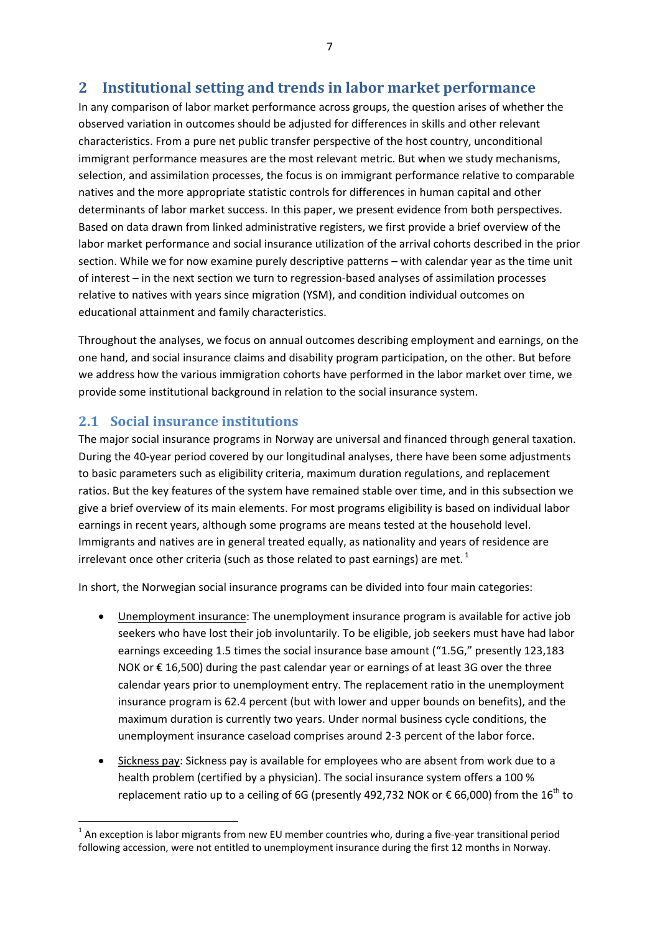## **2 Institutional setting and trends in labor market performance**

In any comparison of labor market performance across groups, the question arises of whether the observed variation in outcomes should be adjusted for differences in skills and other relevant characteristics. From a pure net public transfer perspective of the host country, unconditional immigrant performance measures are the most relevant metric. But when we study mechanisms, selection, and assimilation processes, the focus is on immigrant performance relative to comparable natives and the more appropriate statistic controls for differences in human capital and other determinants of labor market success. In this paper, we present evidence from both perspectives. Based on data drawn from linked administrative registers, we first provide a brief overview of the labor market performance and social insurance utilization of the arrival cohorts described in the prior section. While we for now examine purely descriptive patterns – with calendar year as the time unit of interest – in the next section we turn to regression‐based analyses of assimilation processes relative to natives with years since migration (YSM), and condition individual outcomes on educational attainment and family characteristics.

Throughout the analyses, we focus on annual outcomes describing employment and earnings, on the one hand, and social insurance claims and disability program participation, on the other. But before we address how the various immigration cohorts have performed in the labor market over time, we provide some institutional background in relation to the social insurance system.

#### **2.1 Social insurance institutions**

The major social insurance programs in Norway are universal and financed through general taxation. During the 40‐year period covered by our longitudinal analyses, there have been some adjustments to basic parameters such as eligibility criteria, maximum duration regulations, and replacement ratios. But the key features of the system have remained stable over time, and in this subsection we give a brief overview of its main elements. For most programs eligibility is based on individual labor earnings in recent years, although some programs are means tested at the household level. Immigrants and natives are in general treated equally, as nationality and years of residence are irrelevant once other criteria (such as those related to past earnings) are met.  $^{1}$ 

In short, the Norwegian social insurance programs can be divided into four main categories:

- Unemployment insurance: The unemployment insurance program is available for active job seekers who have lost their job involuntarily. To be eligible, job seekers must have had labor earnings exceeding 1.5 times the social insurance base amount ("1.5G," presently 123,183 NOK or € 16,500) during the past calendar year or earnings of at least 3G over the three calendar years prior to unemployment entry. The replacement ratio in the unemployment insurance program is 62.4 percent (but with lower and upper bounds on benefits), and the maximum duration is currently two years. Under normal business cycle conditions, the unemployment insurance caseload comprises around 2‐3 percent of the labor force.
- Sickness pay: Sickness pay is available for employees who are absent from work due to a health problem (certified by a physician). The social insurance system offers a 100 % replacement ratio up to a ceiling of 6G (presently 492,732 NOK or  $\epsilon$  66,000) from the 16<sup>th</sup> to

 $1$  An exception is labor migrants from new EU member countries who, during a five-vear transitional period following accession, were not entitled to unemployment insurance during the first 12 months in Norway.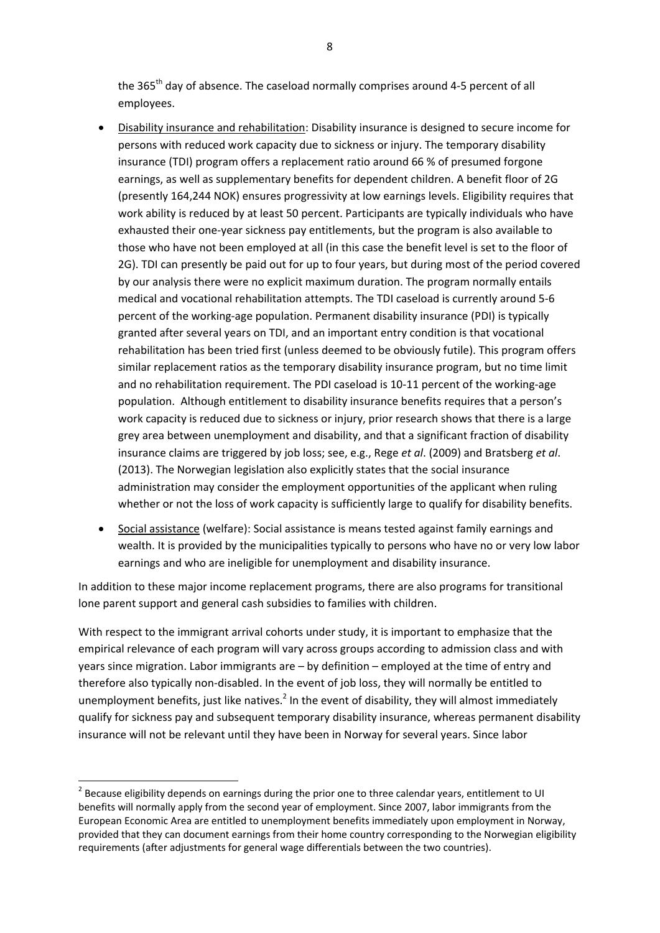the 365<sup>th</sup> day of absence. The caseload normally comprises around 4-5 percent of all employees.

- Disability insurance and rehabilitation: Disability insurance is designed to secure income for persons with reduced work capacity due to sickness or injury. The temporary disability insurance (TDI) program offers a replacement ratio around 66 % of presumed forgone earnings, as well as supplementary benefits for dependent children. A benefit floor of 2G (presently 164,244 NOK) ensures progressivity at low earnings levels. Eligibility requires that work ability is reduced by at least 50 percent. Participants are typically individuals who have exhausted their one-year sickness pay entitlements, but the program is also available to those who have not been employed at all (in this case the benefit level is set to the floor of 2G). TDI can presently be paid out for up to four years, but during most of the period covered by our analysis there were no explicit maximum duration. The program normally entails medical and vocational rehabilitation attempts. The TDI caseload is currently around 5‐6 percent of the working‐age population. Permanent disability insurance (PDI) is typically granted after several years on TDI, and an important entry condition is that vocational rehabilitation has been tried first (unless deemed to be obviously futile). This program offers similar replacement ratios as the temporary disability insurance program, but no time limit and no rehabilitation requirement. The PDI caseload is 10-11 percent of the working-age population. Although entitlement to disability insurance benefits requires that a person's work capacity is reduced due to sickness or injury, prior research shows that there is a large grey area between unemployment and disability, and that a significant fraction of disability insurance claims are triggered by job loss; see, e.g., Rege *et al*. (2009) and Bratsberg *et al*. (2013). The Norwegian legislation also explicitly states that the social insurance administration may consider the employment opportunities of the applicant when ruling whether or not the loss of work capacity is sufficiently large to qualify for disability benefits.
- Social assistance (welfare): Social assistance is means tested against family earnings and wealth. It is provided by the municipalities typically to persons who have no or very low labor earnings and who are ineligible for unemployment and disability insurance.

In addition to these major income replacement programs, there are also programs for transitional lone parent support and general cash subsidies to families with children.

With respect to the immigrant arrival cohorts under study, it is important to emphasize that the empirical relevance of each program will vary across groups according to admission class and with years since migration. Labor immigrants are – by definition – employed at the time of entry and therefore also typically non‐disabled. In the event of job loss, they will normally be entitled to unemployment benefits, just like natives.<sup>2</sup> In the event of disability, they will almost immediately qualify for sickness pay and subsequent temporary disability insurance, whereas permanent disability insurance will not be relevant until they have been in Norway for several years. Since labor

<sup>&</sup>lt;sup>2</sup> Because eligibility depends on earnings during the prior one to three calendar years, entitlement to UI benefits will normally apply from the second year of employment. Since 2007, labor immigrants from the European Economic Area are entitled to unemployment benefits immediately upon employment in Norway, provided that they can document earnings from their home country corresponding to the Norwegian eligibility requirements (after adjustments for general wage differentials between the two countries).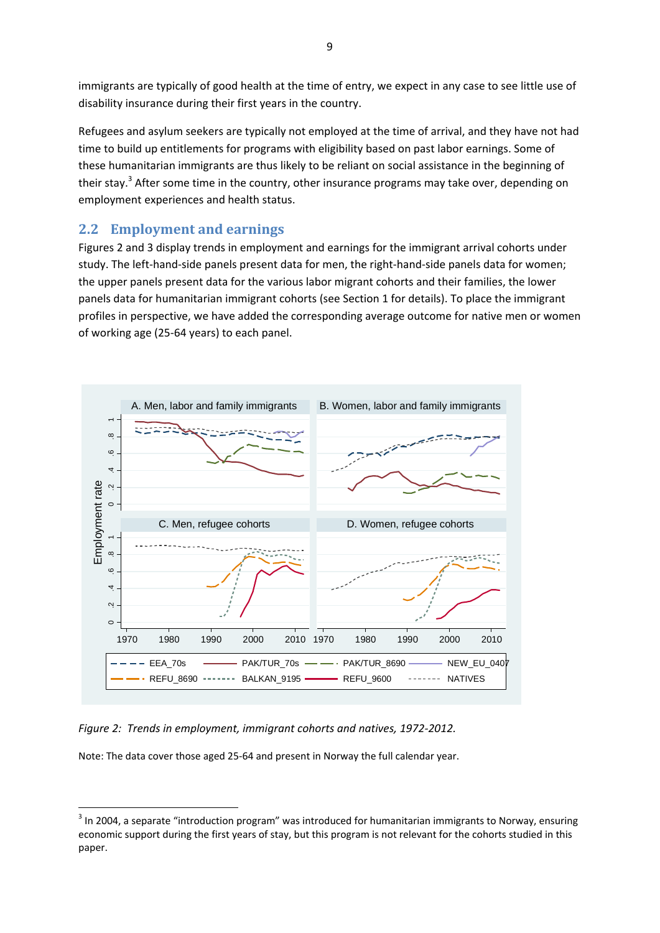immigrants are typically of good health at the time of entry, we expect in any case to see little use of disability insurance during their first years in the country.

Refugees and asylum seekers are typically not employed at the time of arrival, and they have not had time to build up entitlements for programs with eligibility based on past labor earnings. Some of these humanitarian immigrants are thus likely to be reliant on social assistance in the beginning of their stay.<sup>3</sup> After some time in the country, other insurance programs may take over, depending on employment experiences and health status.

#### **2.2 Employment and earnings**

Figures 2 and 3 display trends in employment and earnings for the immigrant arrival cohorts under study. The left-hand-side panels present data for men, the right-hand-side panels data for women; the upper panels present data for the various labor migrant cohorts and their families, the lower panels data for humanitarian immigrant cohorts (see Section 1 for details). To place the immigrant profiles in perspective, we have added the corresponding average outcome for native men or women of working age (25‐64 years) to each panel.



*Figure 2: Trends in employment, immigrant cohorts and natives, 1972‐2012.*

Note: The data cover those aged 25‐64 and present in Norway the full calendar year.

 $3$  In 2004, a separate "introduction program" was introduced for humanitarian immigrants to Norway, ensuring economic support during the first years of stay, but this program is not relevant for the cohorts studied in this paper.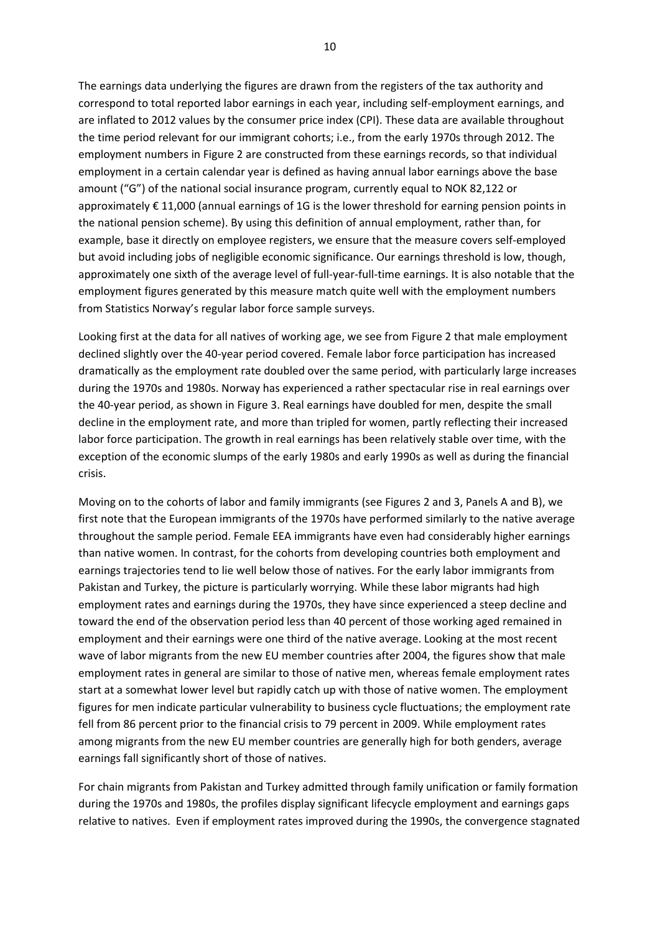The earnings data underlying the figures are drawn from the registers of the tax authority and correspond to total reported labor earnings in each year, including self‐employment earnings, and are inflated to 2012 values by the consumer price index (CPI). These data are available throughout the time period relevant for our immigrant cohorts; i.e., from the early 1970s through 2012. The employment numbers in Figure 2 are constructed from these earnings records, so that individual employment in a certain calendar year is defined as having annual labor earnings above the base amount ("G") of the national social insurance program, currently equal to NOK 82,122 or approximately € 11,000 (annual earnings of 1G is the lower threshold for earning pension points in the national pension scheme). By using this definition of annual employment, rather than, for example, base it directly on employee registers, we ensure that the measure covers self-employed but avoid including jobs of negligible economic significance. Our earnings threshold is low, though, approximately one sixth of the average level of full-year-full-time earnings. It is also notable that the employment figures generated by this measure match quite well with the employment numbers from Statistics Norway's regular labor force sample surveys.

Looking first at the data for all natives of working age, we see from Figure 2 that male employment declined slightly over the 40‐year period covered. Female labor force participation has increased dramatically as the employment rate doubled over the same period, with particularly large increases during the 1970s and 1980s. Norway has experienced a rather spectacular rise in real earnings over the 40‐year period, as shown in Figure 3. Real earnings have doubled for men, despite the small decline in the employment rate, and more than tripled for women, partly reflecting their increased labor force participation. The growth in real earnings has been relatively stable over time, with the exception of the economic slumps of the early 1980s and early 1990s as well as during the financial crisis.

Moving on to the cohorts of labor and family immigrants (see Figures 2 and 3, Panels A and B), we first note that the European immigrants of the 1970s have performed similarly to the native average throughout the sample period. Female EEA immigrants have even had considerably higher earnings than native women. In contrast, for the cohorts from developing countries both employment and earnings trajectories tend to lie well below those of natives. For the early labor immigrants from Pakistan and Turkey, the picture is particularly worrying. While these labor migrants had high employment rates and earnings during the 1970s, they have since experienced a steep decline and toward the end of the observation period less than 40 percent of those working aged remained in employment and their earnings were one third of the native average. Looking at the most recent wave of labor migrants from the new EU member countries after 2004, the figures show that male employment rates in general are similar to those of native men, whereas female employment rates start at a somewhat lower level but rapidly catch up with those of native women. The employment figures for men indicate particular vulnerability to business cycle fluctuations; the employment rate fell from 86 percent prior to the financial crisis to 79 percent in 2009. While employment rates among migrants from the new EU member countries are generally high for both genders, average earnings fall significantly short of those of natives.

For chain migrants from Pakistan and Turkey admitted through family unification or family formation during the 1970s and 1980s, the profiles display significant lifecycle employment and earnings gaps relative to natives. Even if employment rates improved during the 1990s, the convergence stagnated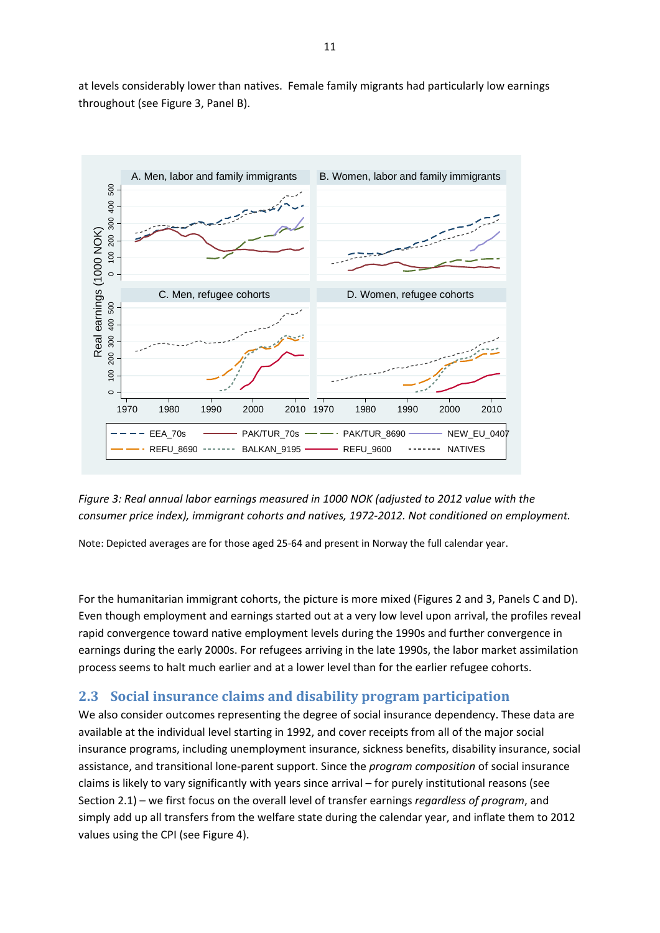

at levels considerably lower than natives. Female family migrants had particularly low earnings throughout (see Figure 3, Panel B).



Note: Depicted averages are for those aged 25‐64 and present in Norway the full calendar year.

For the humanitarian immigrant cohorts, the picture is more mixed (Figures 2 and 3, Panels C and D). Even though employment and earnings started out at a very low level upon arrival, the profiles reveal rapid convergence toward native employment levels during the 1990s and further convergence in earnings during the early 2000s. For refugees arriving in the late 1990s, the labor market assimilation process seems to halt much earlier and at a lower level than for the earlier refugee cohorts.

#### **2.3 Social insurance claims and disability program participation**

We also consider outcomes representing the degree of social insurance dependency. These data are available at the individual level starting in 1992, and cover receipts from all of the major social insurance programs, including unemployment insurance, sickness benefits, disability insurance, social assistance, and transitional lone‐parent support. Since the *program composition* of social insurance claims is likely to vary significantly with years since arrival – for purely institutional reasons (see Section 2.1) – we first focus on the overall level of transfer earnings *regardless of program*, and simply add up all transfers from the welfare state during the calendar year, and inflate them to 2012 values using the CPI (see Figure 4).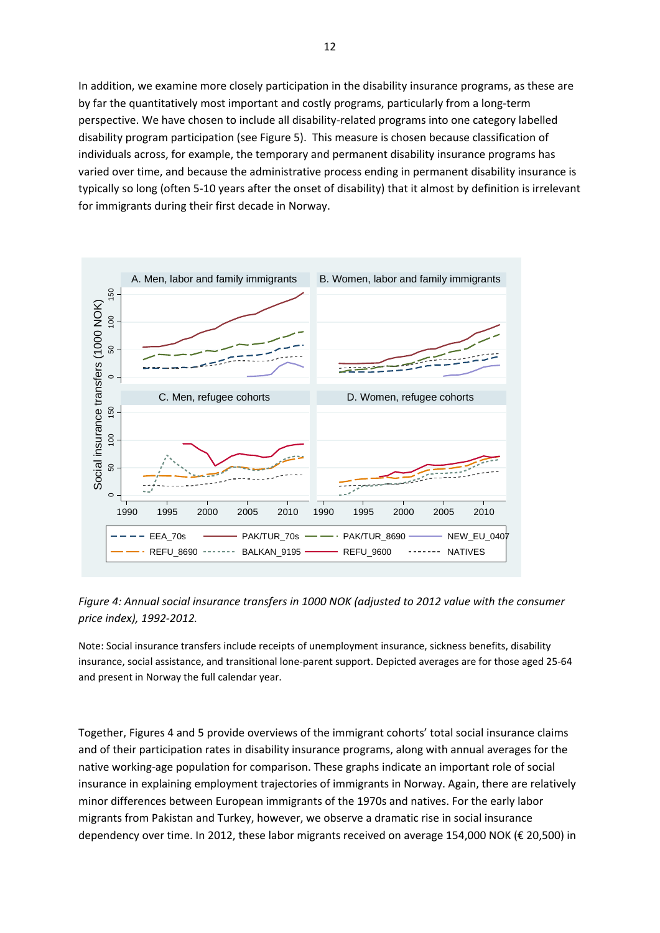In addition, we examine more closely participation in the disability insurance programs, as these are by far the quantitatively most important and costly programs, particularly from a long‐term perspective. We have chosen to include all disability‐related programs into one category labelled disability program participation (see Figure 5). This measure is chosen because classification of individuals across, for example, the temporary and permanent disability insurance programs has varied over time, and because the administrative process ending in permanent disability insurance is typically so long (often 5‐10 years after the onset of disability) that it almost by definition is irrelevant for immigrants during their first decade in Norway.



*Figure 4: Annual social insurance transfers in 1000 NOK (adjusted to 2012 value with the consumer price index), 1992‐2012.*

Note: Social insurance transfers include receipts of unemployment insurance, sickness benefits, disability insurance, social assistance, and transitional lone‐parent support. Depicted averages are for those aged 25‐64 and present in Norway the full calendar year.

Together, Figures 4 and 5 provide overviews of the immigrant cohorts' total social insurance claims and of their participation rates in disability insurance programs, along with annual averages for the native working‐age population for comparison. These graphs indicate an important role of social insurance in explaining employment trajectories of immigrants in Norway. Again, there are relatively minor differences between European immigrants of the 1970s and natives. For the early labor migrants from Pakistan and Turkey, however, we observe a dramatic rise in social insurance dependency over time. In 2012, these labor migrants received on average 154,000 NOK (€ 20,500) in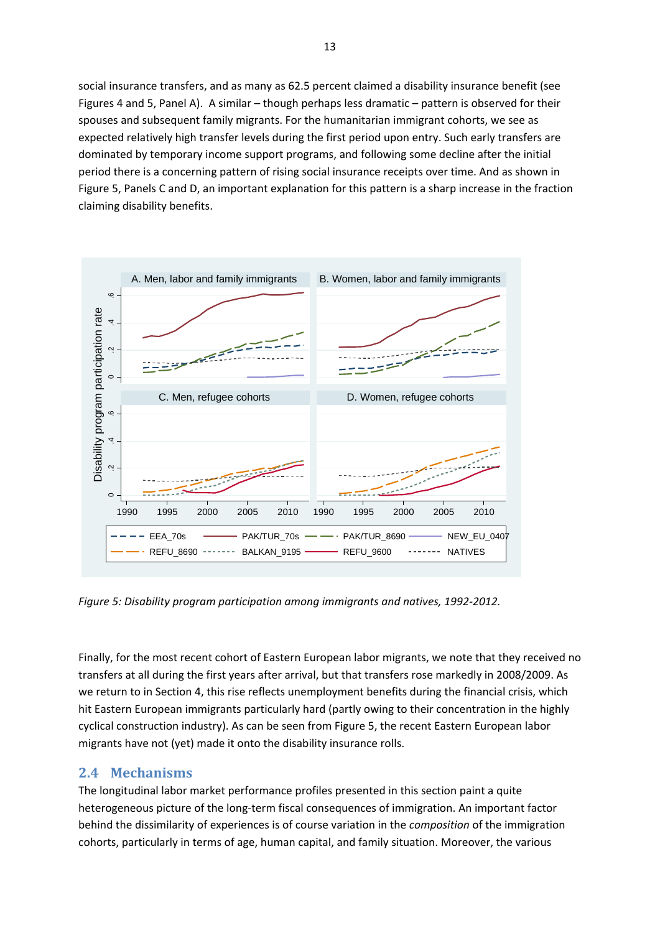social insurance transfers, and as many as 62.5 percent claimed a disability insurance benefit (see Figures 4 and 5, Panel A). A similar – though perhaps less dramatic – pattern is observed for their spouses and subsequent family migrants. For the humanitarian immigrant cohorts, we see as expected relatively high transfer levels during the first period upon entry. Such early transfers are dominated by temporary income support programs, and following some decline after the initial period there is a concerning pattern of rising social insurance receipts over time. And as shown in Figure 5, Panels C and D, an important explanation for this pattern is a sharp increase in the fraction claiming disability benefits.



*Figure 5: Disability program participation among immigrants and natives, 1992‐2012.* 

Finally, for the most recent cohort of Eastern European labor migrants, we note that they received no transfers at all during the first years after arrival, but that transfers rose markedly in 2008/2009. As we return to in Section 4, this rise reflects unemployment benefits during the financial crisis, which hit Eastern European immigrants particularly hard (partly owing to their concentration in the highly cyclical construction industry). As can be seen from Figure 5, the recent Eastern European labor migrants have not (yet) made it onto the disability insurance rolls.

#### **2.4 Mechanisms**

The longitudinal labor market performance profiles presented in this section paint a quite heterogeneous picture of the long-term fiscal consequences of immigration. An important factor behind the dissimilarity of experiences is of course variation in the *composition* of the immigration cohorts, particularly in terms of age, human capital, and family situation. Moreover, the various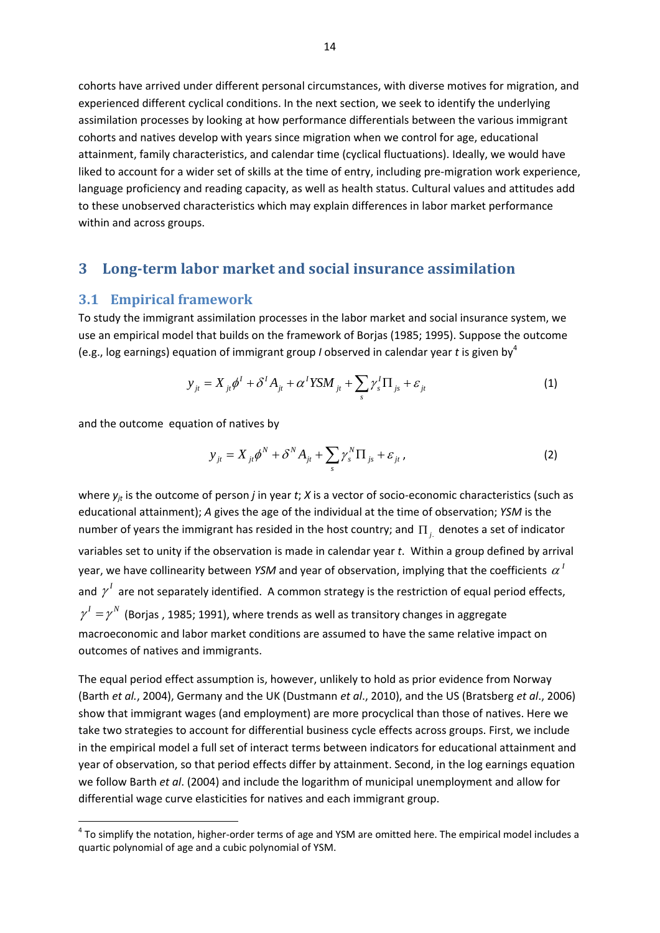cohorts have arrived under different personal circumstances, with diverse motives for migration, and experienced different cyclical conditions. In the next section, we seek to identify the underlying assimilation processes by looking at how performance differentials between the various immigrant cohorts and natives develop with years since migration when we control for age, educational attainment, family characteristics, and calendar time (cyclical fluctuations). Ideally, we would have liked to account for a wider set of skills at the time of entry, including pre-migration work experience, language proficiency and reading capacity, as well as health status. Cultural values and attitudes add to these unobserved characteristics which may explain differences in labor market performance within and across groups.

#### **3 Long‐term labor market and social insurance assimilation**

#### **3.1 Empirical framework**

To study the immigrant assimilation processes in the labor market and social insurance system, we use an empirical model that builds on the framework of Borjas (1985; 1995). Suppose the outcome (e.g., log earnings) equation of immigrant group *I* observed in calendar year *t* is given by<sup>4</sup>

$$
y_{jt} = X_{jt} \phi^I + \delta^I A_{jt} + \alpha^I Y S M_{jt} + \sum_s \gamma_s^I \Pi_{js} + \varepsilon_{jt}
$$
 (1)

and the outcome equation of natives by

$$
y_{ji} = X_{ji}\phi^N + \delta^N A_{ji} + \sum_s \gamma_s^N \Pi_{js} + \varepsilon_{jt} \,, \tag{2}
$$

where  $y_{it}$  is the outcome of person *j* in year *t*; *X* is a vector of socio-economic characteristics (such as educational attainment); *A* gives the age of the individual at the time of observation; *YSM* is the number of years the immigrant has resided in the host country; and  $\Pi_i$  denotes a set of indicator variables set to unity if the observation is made in calendar year *t*. Within a group defined by arrival year, we have collinearity between *YSM* and year of observation, implying that the coefficients  $\alpha<sup>T</sup>$ and  $\gamma^I$  are not separately identified. A common strategy is the restriction of equal period effects,  $\gamma^I = \gamma^N$  (Borias , 1985; 1991), where trends as well as transitory changes in aggregate macroeconomic and labor market conditions are assumed to have the same relative impact on outcomes of natives and immigrants.

The equal period effect assumption is, however, unlikely to hold as prior evidence from Norway (Barth *et al.*, 2004), Germany and the UK (Dustmann *et al*., 2010), and the US (Bratsberg *et al*., 2006) show that immigrant wages (and employment) are more procyclical than those of natives. Here we take two strategies to account for differential business cycle effects across groups. First, we include in the empirical model a full set of interact terms between indicators for educational attainment and year of observation, so that period effects differ by attainment. Second, in the log earnings equation we follow Barth *et al*. (2004) and include the logarithm of municipal unemployment and allow for differential wage curve elasticities for natives and each immigrant group.

<sup>&</sup>lt;sup>4</sup> To simplify the notation, higher-order terms of age and YSM are omitted here. The empirical model includes a quartic polynomial of age and a cubic polynomial of YSM.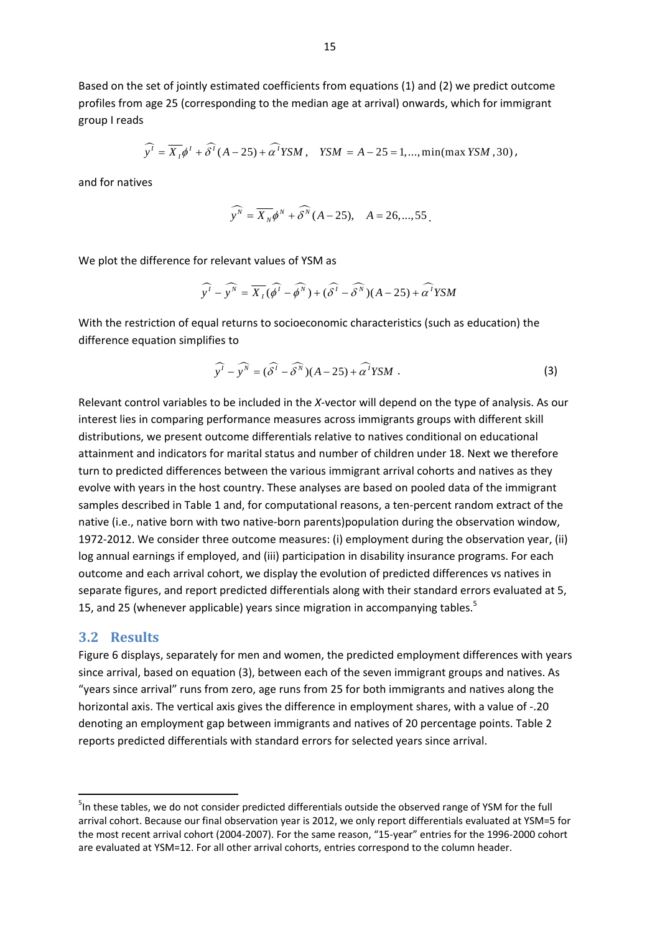Based on the set of jointly estimated coefficients from equations (1) and (2) we predict outcome profiles from age 25 (corresponding to the median age at arrival) onwards, which for immigrant group I reads

$$
\widehat{y'} = \overline{X_i} \phi^t + \widehat{\delta^t} (A - 25) + \widehat{\alpha^t} Y S M \,, \quad Y S M = A - 25 = 1, ..., \min(\max Y S M \,, 30) \,,
$$

and for natives

$$
\widehat{y^N} = \overline{X_N} \phi^N + \widehat{\delta^N} (A - 25), \quad A = 26, \dots, 55.
$$

We plot the difference for relevant values of YSM as

$$
\widehat{y'} - \widehat{y''} = \overline{X_1}(\widehat{\phi'} - \widehat{\phi''}) + (\widehat{\delta'} - \widehat{\delta''})(A - 25) + \widehat{\alpha'} YSM
$$

With the restriction of equal returns to socioeconomic characteristics (such as education) the difference equation simplifies to

$$
\widehat{y'} - \widehat{y''} = (\widehat{\delta'} - \widehat{\delta''})(A - 25) + \widehat{\alpha'} YSM . \tag{3}
$$

Relevant control variables to be included in the *X*-vector will depend on the type of analysis. As our interest lies in comparing performance measures across immigrants groups with different skill distributions, we present outcome differentials relative to natives conditional on educational attainment and indicators for marital status and number of children under 18. Next we therefore turn to predicted differences between the various immigrant arrival cohorts and natives as they evolve with years in the host country. These analyses are based on pooled data of the immigrant samples described in Table 1 and, for computational reasons, a ten-percent random extract of the native (i.e., native born with two native‐born parents)population during the observation window, 1972-2012. We consider three outcome measures: (i) employment during the observation year, (ii) log annual earnings if employed, and (iii) participation in disability insurance programs. For each outcome and each arrival cohort, we display the evolution of predicted differences vs natives in separate figures, and report predicted differentials along with their standard errors evaluated at 5, 15, and 25 (whenever applicable) years since migration in accompanying tables.<sup>5</sup>

#### **3.2 Results**

Figure 6 displays, separately for men and women, the predicted employment differences with years since arrival, based on equation (3), between each of the seven immigrant groups and natives. As "years since arrival" runs from zero, age runs from 25 for both immigrants and natives along the horizontal axis. The vertical axis gives the difference in employment shares, with a value of ‐.20 denoting an employment gap between immigrants and natives of 20 percentage points. Table 2 reports predicted differentials with standard errors for selected years since arrival.

<sup>&</sup>lt;sup>5</sup>In these tables, we do not consider predicted differentials outside the observed range of YSM for the full arrival cohort. Because our final observation year is 2012, we only report differentials evaluated at YSM=5 for the most recent arrival cohort (2004‐2007). For the same reason, "15‐year" entries for the 1996‐2000 cohort are evaluated at YSM=12. For all other arrival cohorts, entries correspond to the column header.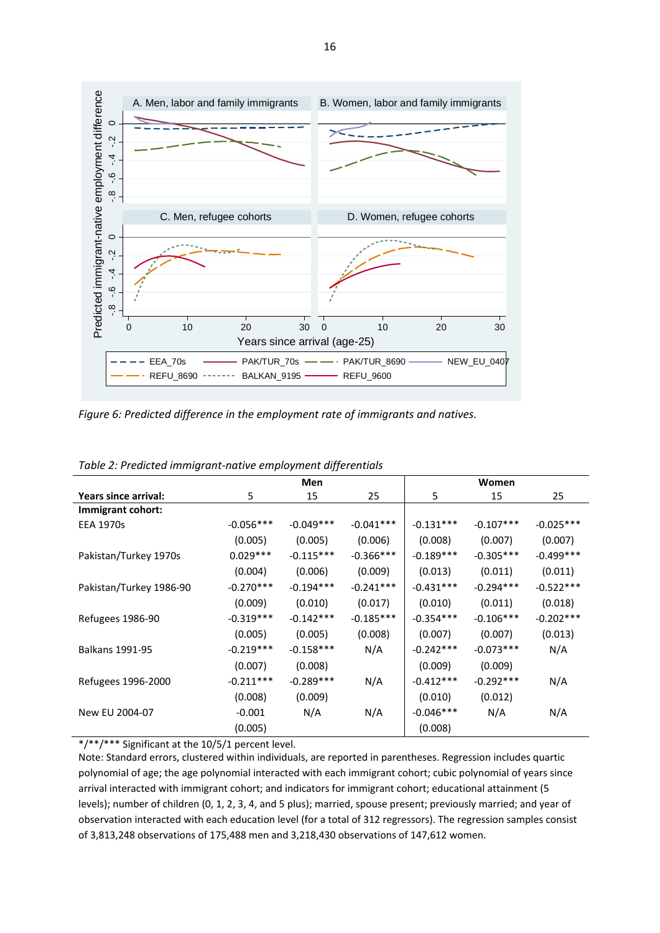

*Figure 6: Predicted difference in the employment rate of immigrants and natives.* 

|                         | Men         |             |              |             | Women       |             |
|-------------------------|-------------|-------------|--------------|-------------|-------------|-------------|
| Years since arrival:    | 5           | 15          | 25           | 5           | 15          | 25          |
| Immigrant cohort:       |             |             |              |             |             |             |
| <b>EEA 1970s</b>        | $-0.056***$ | $-0.049***$ | $-0.041***$  | $-0.131***$ | $-0.107***$ | $-0.025***$ |
|                         | (0.005)     | (0.005)     | (0.006)      | (0.008)     | (0.007)     | (0.007)     |
| Pakistan/Turkey 1970s   | $0.029***$  | $-0.115***$ | $-0.366$ *** | $-0.189***$ | $-0.305***$ | $-0.499***$ |
|                         | (0.004)     | (0.006)     | (0.009)      | (0.013)     | (0.011)     | (0.011)     |
| Pakistan/Turkey 1986-90 | $-0.270***$ | $-0.194***$ | $-0.241***$  | $-0.431***$ | $-0.294***$ | $-0.522***$ |
|                         | (0.009)     | (0.010)     | (0.017)      | (0.010)     | (0.011)     | (0.018)     |
| Refugees 1986-90        | $-0.319***$ | $-0.142***$ | $-0.185***$  | $-0.354***$ | $-0.106***$ | $-0.202***$ |
|                         | (0.005)     | (0.005)     | (0.008)      | (0.007)     | (0.007)     | (0.013)     |
| <b>Balkans 1991-95</b>  | $-0.219***$ | $-0.158***$ | N/A          | $-0.242***$ | $-0.073***$ | N/A         |
|                         | (0.007)     | (0.008)     |              | (0.009)     | (0.009)     |             |
| Refugees 1996-2000      | $-0.211***$ | $-0.289***$ | N/A          | $-0.412***$ | $-0.292***$ | N/A         |
|                         | (0.008)     | (0.009)     |              | (0.010)     | (0.012)     |             |
| New EU 2004-07          | $-0.001$    | N/A         | N/A          | $-0.046***$ | N/A         | N/A         |
|                         | (0.005)     |             |              | (0.008)     |             |             |

*Table 2: Predicted immigrant‐native employment differentials*

\*/\*\*/\*\*\* Significant at the 10/5/1 percent level.

Note: Standard errors, clustered within individuals, are reported in parentheses. Regression includes quartic polynomial of age; the age polynomial interacted with each immigrant cohort; cubic polynomial of years since arrival interacted with immigrant cohort; and indicators for immigrant cohort; educational attainment (5 levels); number of children (0, 1, 2, 3, 4, and 5 plus); married, spouse present; previously married; and year of observation interacted with each education level (for a total of 312 regressors). The regression samples consist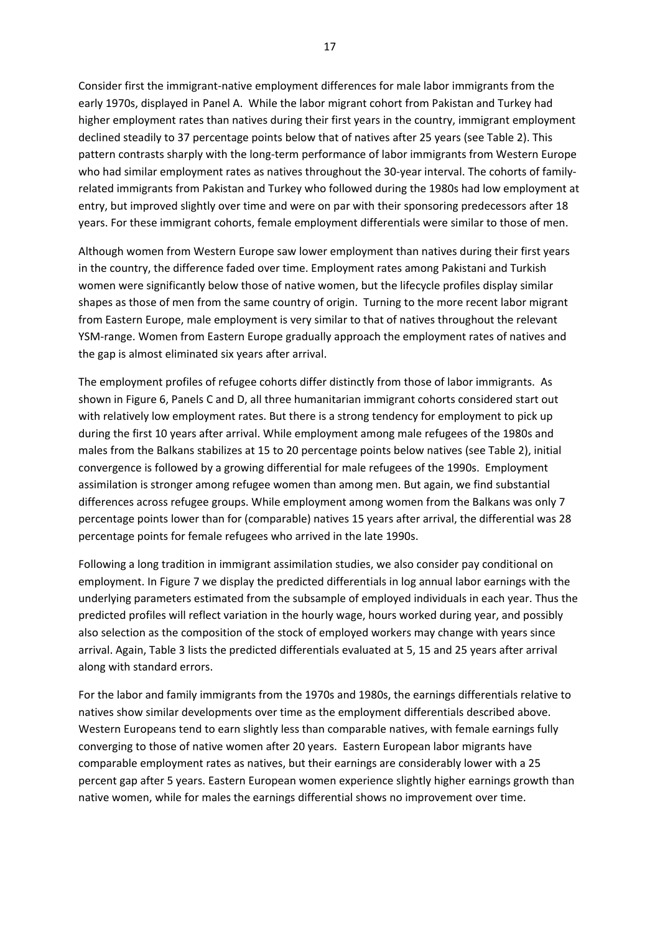Consider first the immigrant‐native employment differences for male labor immigrants from the early 1970s, displayed in Panel A. While the labor migrant cohort from Pakistan and Turkey had higher employment rates than natives during their first years in the country, immigrant employment declined steadily to 37 percentage points below that of natives after 25 years (see Table 2). This pattern contrasts sharply with the long-term performance of labor immigrants from Western Europe who had similar employment rates as natives throughout the 30-year interval. The cohorts of familyrelated immigrants from Pakistan and Turkey who followed during the 1980s had low employment at entry, but improved slightly over time and were on par with their sponsoring predecessors after 18 years. For these immigrant cohorts, female employment differentials were similar to those of men.

Although women from Western Europe saw lower employment than natives during their first years in the country, the difference faded over time. Employment rates among Pakistani and Turkish women were significantly below those of native women, but the lifecycle profiles display similar shapes as those of men from the same country of origin. Turning to the more recent labor migrant from Eastern Europe, male employment is very similar to that of natives throughout the relevant YSM-range. Women from Eastern Europe gradually approach the employment rates of natives and the gap is almost eliminated six years after arrival.

The employment profiles of refugee cohorts differ distinctly from those of labor immigrants. As shown in Figure 6, Panels C and D, all three humanitarian immigrant cohorts considered start out with relatively low employment rates. But there is a strong tendency for employment to pick up during the first 10 years after arrival. While employment among male refugees of the 1980s and males from the Balkans stabilizes at 15 to 20 percentage points below natives (see Table 2), initial convergence is followed by a growing differential for male refugees of the 1990s. Employment assimilation is stronger among refugee women than among men. But again, we find substantial differences across refugee groups. While employment among women from the Balkans was only 7 percentage points lower than for (comparable) natives 15 years after arrival, the differential was 28 percentage points for female refugees who arrived in the late 1990s.

Following a long tradition in immigrant assimilation studies, we also consider pay conditional on employment. In Figure 7 we display the predicted differentials in log annual labor earnings with the underlying parameters estimated from the subsample of employed individuals in each year. Thus the predicted profiles will reflect variation in the hourly wage, hours worked during year, and possibly also selection as the composition of the stock of employed workers may change with years since arrival. Again, Table 3 lists the predicted differentials evaluated at 5, 15 and 25 years after arrival along with standard errors.

For the labor and family immigrants from the 1970s and 1980s, the earnings differentials relative to natives show similar developments over time as the employment differentials described above. Western Europeans tend to earn slightly less than comparable natives, with female earnings fully converging to those of native women after 20 years. Eastern European labor migrants have comparable employment rates as natives, but their earnings are considerably lower with a 25 percent gap after 5 years. Eastern European women experience slightly higher earnings growth than native women, while for males the earnings differential shows no improvement over time.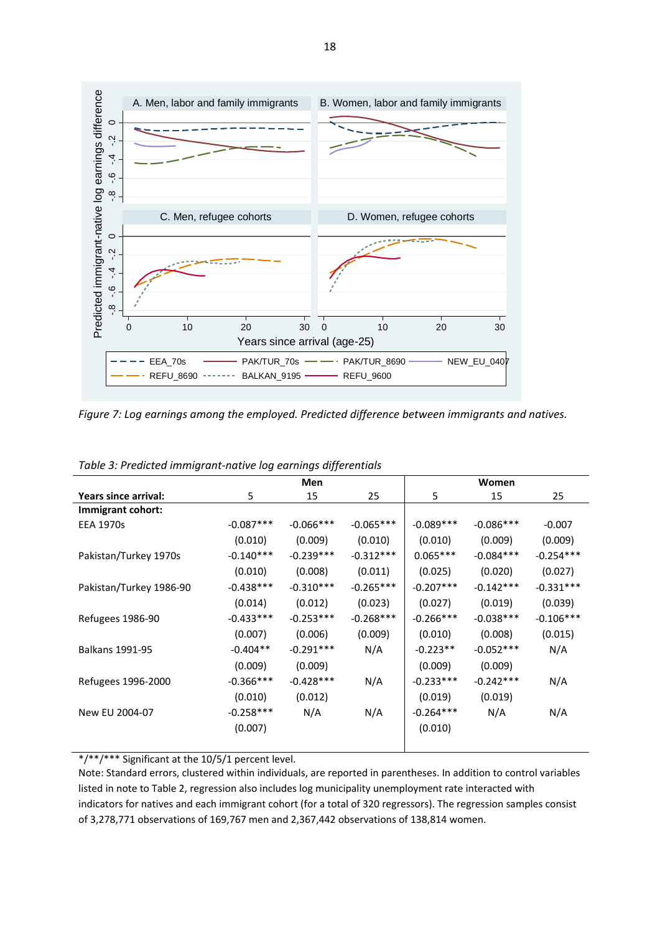

*Figure 7: Log earnings among the employed. Predicted difference between immigrants and natives.*

|                         |             | Men         |             |             | Women       |             |
|-------------------------|-------------|-------------|-------------|-------------|-------------|-------------|
| Years since arrival:    | 5           | 15          | 25          | 5           | 15          | 25          |
| Immigrant cohort:       |             |             |             |             |             |             |
| <b>EEA 1970s</b>        | $-0.087***$ | $-0.066***$ | $-0.065***$ | $-0.089***$ | $-0.086***$ | $-0.007$    |
|                         | (0.010)     | (0.009)     | (0.010)     | (0.010)     | (0.009)     | (0.009)     |
| Pakistan/Turkey 1970s   | $-0.140***$ | $-0.239***$ | $-0.312***$ | $0.065***$  | $-0.084***$ | $-0.254***$ |
|                         | (0.010)     | (0.008)     | (0.011)     | (0.025)     | (0.020)     | (0.027)     |
| Pakistan/Turkey 1986-90 | $-0.438***$ | $-0.310***$ | $-0.265***$ | $-0.207***$ | $-0.142***$ | $-0.331***$ |
|                         | (0.014)     | (0.012)     | (0.023)     | (0.027)     | (0.019)     | (0.039)     |
| Refugees 1986-90        | $-0.433***$ | $-0.253***$ | $-0.268***$ | $-0.266***$ | $-0.038***$ | $-0.106***$ |
|                         | (0.007)     | (0.006)     | (0.009)     | (0.010)     | (0.008)     | (0.015)     |
| <b>Balkans 1991-95</b>  | $-0.404**$  | $-0.291***$ | N/A         | $-0.223**$  | $-0.052***$ | N/A         |
|                         | (0.009)     | (0.009)     |             | (0.009)     | (0.009)     |             |
| Refugees 1996-2000      | $-0.366***$ | $-0.428***$ | N/A         | $-0.233***$ | $-0.242***$ | N/A         |
|                         | (0.010)     | (0.012)     |             | (0.019)     | (0.019)     |             |
| New EU 2004-07          | $-0.258***$ | N/A         | N/A         | $-0.264***$ | N/A         | N/A         |
|                         | (0.007)     |             |             | (0.010)     |             |             |
|                         |             |             |             |             |             |             |

*Table 3: Predicted immigrant‐native log earnings differentials*

\*/\*\*/\*\*\* Significant at the 10/5/1 percent level.

Note: Standard errors, clustered within individuals, are reported in parentheses. In addition to control variables listed in note to Table 2, regression also includes log municipality unemployment rate interacted with indicators for natives and each immigrant cohort (for a total of 320 regressors). The regression samples consist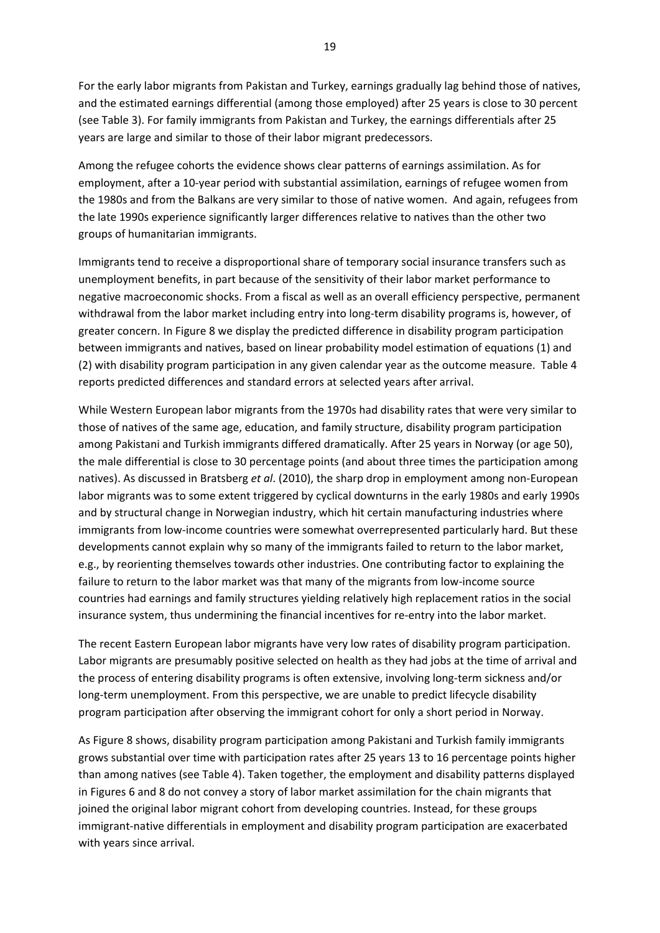For the early labor migrants from Pakistan and Turkey, earnings gradually lag behind those of natives, and the estimated earnings differential (among those employed) after 25 years is close to 30 percent (see Table 3). For family immigrants from Pakistan and Turkey, the earnings differentials after 25 years are large and similar to those of their labor migrant predecessors.

Among the refugee cohorts the evidence shows clear patterns of earnings assimilation. As for employment, after a 10‐year period with substantial assimilation, earnings of refugee women from the 1980s and from the Balkans are very similar to those of native women. And again, refugees from the late 1990s experience significantly larger differences relative to natives than the other two groups of humanitarian immigrants.

Immigrants tend to receive a disproportional share of temporary social insurance transfers such as unemployment benefits, in part because of the sensitivity of their labor market performance to negative macroeconomic shocks. From a fiscal as well as an overall efficiency perspective, permanent withdrawal from the labor market including entry into long-term disability programs is, however, of greater concern. In Figure 8 we display the predicted difference in disability program participation between immigrants and natives, based on linear probability model estimation of equations (1) and (2) with disability program participation in any given calendar year as the outcome measure. Table 4 reports predicted differences and standard errors at selected years after arrival.

While Western European labor migrants from the 1970s had disability rates that were very similar to those of natives of the same age, education, and family structure, disability program participation among Pakistani and Turkish immigrants differed dramatically. After 25 years in Norway (or age 50), the male differential is close to 30 percentage points (and about three times the participation among natives). As discussed in Bratsberg *et al*. (2010), the sharp drop in employment among non‐European labor migrants was to some extent triggered by cyclical downturns in the early 1980s and early 1990s and by structural change in Norwegian industry, which hit certain manufacturing industries where immigrants from low-income countries were somewhat overrepresented particularly hard. But these developments cannot explain why so many of the immigrants failed to return to the labor market, e.g., by reorienting themselves towards other industries. One contributing factor to explaining the failure to return to the labor market was that many of the migrants from low-income source countries had earnings and family structures yielding relatively high replacement ratios in the social insurance system, thus undermining the financial incentives for re‐entry into the labor market.

The recent Eastern European labor migrants have very low rates of disability program participation. Labor migrants are presumably positive selected on health as they had jobs at the time of arrival and the process of entering disability programs is often extensive, involving long‐term sickness and/or long-term unemployment. From this perspective, we are unable to predict lifecycle disability program participation after observing the immigrant cohort for only a short period in Norway.

As Figure 8 shows, disability program participation among Pakistani and Turkish family immigrants grows substantial over time with participation rates after 25 years 13 to 16 percentage points higher than among natives (see Table 4). Taken together, the employment and disability patterns displayed in Figures 6 and 8 do not convey a story of labor market assimilation for the chain migrants that joined the original labor migrant cohort from developing countries. Instead, for these groups immigrant‐native differentials in employment and disability program participation are exacerbated with years since arrival.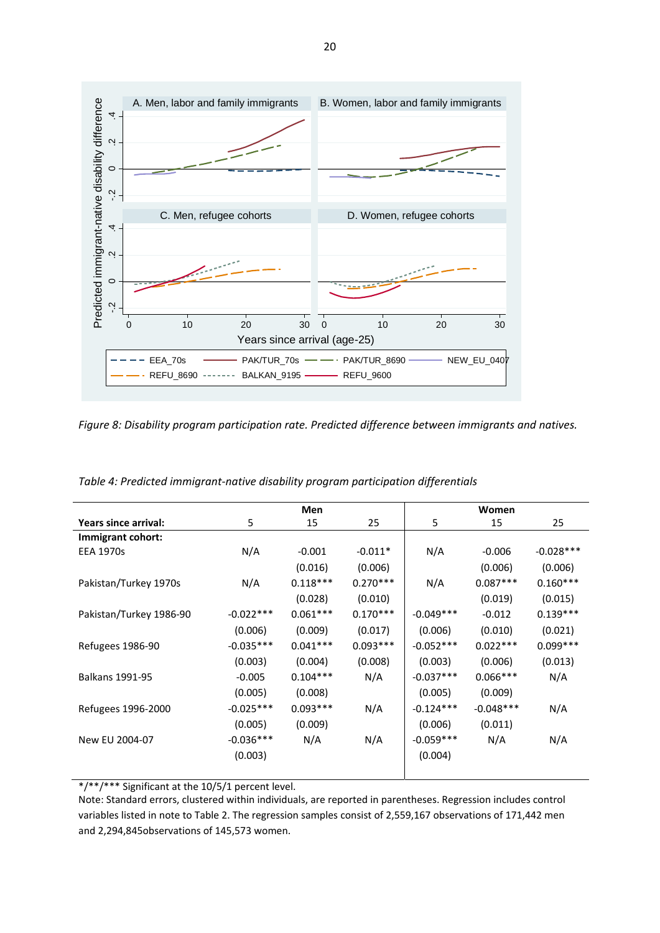

*Figure 8: Disability program participation rate. Predicted difference between immigrants and natives.*

|                         |             | Men        |            |             | Women       |             |
|-------------------------|-------------|------------|------------|-------------|-------------|-------------|
| Years since arrival:    | 5           | 15         | 25         | 5           | 15          | 25          |
| Immigrant cohort:       |             |            |            |             |             |             |
| <b>EEA 1970s</b>        | N/A         | $-0.001$   | $-0.011*$  | N/A         | $-0.006$    | $-0.028***$ |
|                         |             | (0.016)    | (0.006)    |             | (0.006)     | (0.006)     |
| Pakistan/Turkey 1970s   | N/A         | $0.118***$ | $0.270***$ | N/A         | $0.087***$  | $0.160***$  |
|                         |             | (0.028)    | (0.010)    |             | (0.019)     | (0.015)     |
| Pakistan/Turkey 1986-90 | $-0.022***$ | $0.061***$ | $0.170***$ | $-0.049***$ | $-0.012$    | $0.139***$  |
|                         | (0.006)     | (0.009)    | (0.017)    | (0.006)     | (0.010)     | (0.021)     |
| Refugees 1986-90        | $-0.035***$ | $0.041***$ | $0.093***$ | $-0.052***$ | $0.022***$  | $0.099***$  |
|                         | (0.003)     | (0.004)    | (0.008)    | (0.003)     | (0.006)     | (0.013)     |
| <b>Balkans 1991-95</b>  | $-0.005$    | $0.104***$ | N/A        | $-0.037***$ | $0.066***$  | N/A         |
|                         | (0.005)     | (0.008)    |            | (0.005)     | (0.009)     |             |
| Refugees 1996-2000      | $-0.025***$ | $0.093***$ | N/A        | $-0.124***$ | $-0.048***$ | N/A         |
|                         | (0.005)     | (0.009)    |            | (0.006)     | (0.011)     |             |
| New EU 2004-07          | $-0.036***$ | N/A        | N/A        | $-0.059***$ | N/A         | N/A         |
|                         | (0.003)     |            |            | (0.004)     |             |             |
|                         |             |            |            |             |             |             |

*Table 4: Predicted immigrant‐native disability program participation differentials*

\*/\*\*/\*\*\* Significant at the 10/5/1 percent level.

Note: Standard errors, clustered within individuals, are reported in parentheses. Regression includes control variables listed in note to Table 2. The regression samples consist of 2,559,167 observations of 171,442 men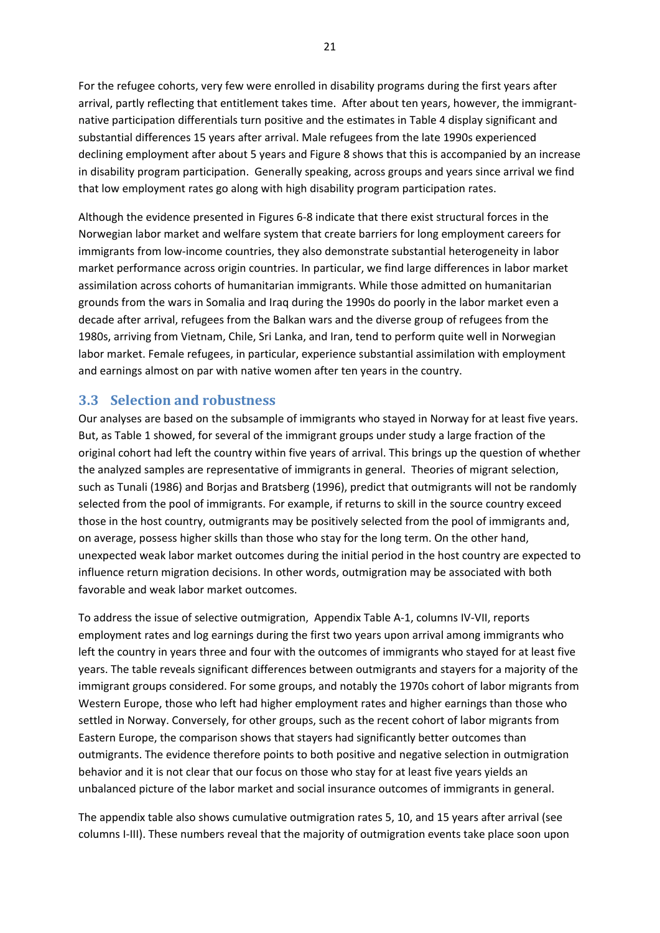For the refugee cohorts, very few were enrolled in disability programs during the first years after arrival, partly reflecting that entitlement takes time. After about ten years, however, the immigrantnative participation differentials turn positive and the estimates in Table 4 display significant and substantial differences 15 years after arrival. Male refugees from the late 1990s experienced declining employment after about 5 years and Figure 8 shows that this is accompanied by an increase in disability program participation. Generally speaking, across groups and years since arrival we find that low employment rates go along with high disability program participation rates.

Although the evidence presented in Figures 6‐8 indicate that there exist structural forces in the Norwegian labor market and welfare system that create barriers for long employment careers for immigrants from low-income countries, they also demonstrate substantial heterogeneity in labor market performance across origin countries. In particular, we find large differences in labor market assimilation across cohorts of humanitarian immigrants. While those admitted on humanitarian grounds from the wars in Somalia and Iraq during the 1990s do poorly in the labor market even a decade after arrival, refugees from the Balkan wars and the diverse group of refugees from the 1980s, arriving from Vietnam, Chile, Sri Lanka, and Iran, tend to perform quite well in Norwegian labor market. Female refugees, in particular, experience substantial assimilation with employment and earnings almost on par with native women after ten years in the country.

#### **3.3 Selection and robustness**

Our analyses are based on the subsample of immigrants who stayed in Norway for at least five years. But, as Table 1 showed, for several of the immigrant groups under study a large fraction of the original cohort had left the country within five years of arrival. This brings up the question of whether the analyzed samples are representative of immigrants in general. Theories of migrant selection, such as Tunali (1986) and Borjas and Bratsberg (1996), predict that outmigrants will not be randomly selected from the pool of immigrants. For example, if returns to skill in the source country exceed those in the host country, outmigrants may be positively selected from the pool of immigrants and, on average, possess higher skills than those who stay for the long term. On the other hand, unexpected weak labor market outcomes during the initial period in the host country are expected to influence return migration decisions. In other words, outmigration may be associated with both favorable and weak labor market outcomes.

To address the issue of selective outmigration, Appendix Table A‐1, columns IV‐VII, reports employment rates and log earnings during the first two years upon arrival among immigrants who left the country in years three and four with the outcomes of immigrants who stayed for at least five years. The table reveals significant differences between outmigrants and stayers for a majority of the immigrant groups considered. For some groups, and notably the 1970s cohort of labor migrants from Western Europe, those who left had higher employment rates and higher earnings than those who settled in Norway. Conversely, for other groups, such as the recent cohort of labor migrants from Eastern Europe, the comparison shows that stayers had significantly better outcomes than outmigrants. The evidence therefore points to both positive and negative selection in outmigration behavior and it is not clear that our focus on those who stay for at least five years yields an unbalanced picture of the labor market and social insurance outcomes of immigrants in general.

The appendix table also shows cumulative outmigration rates 5, 10, and 15 years after arrival (see columns I‐III). These numbers reveal that the majority of outmigration events take place soon upon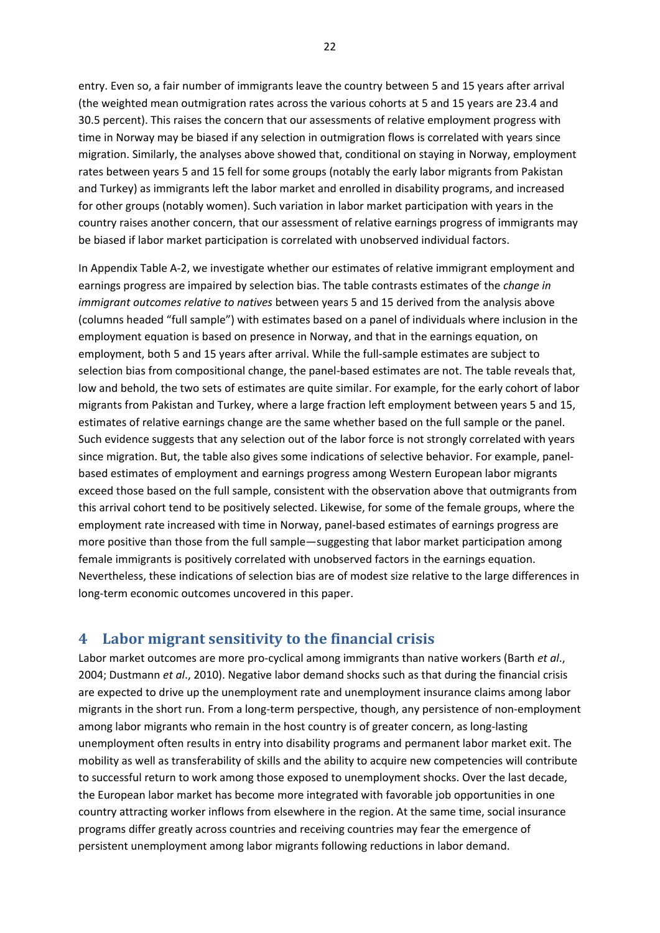entry. Even so, a fair number of immigrants leave the country between 5 and 15 years after arrival (the weighted mean outmigration rates across the various cohorts at 5 and 15 years are 23.4 and 30.5 percent). This raises the concern that our assessments of relative employment progress with time in Norway may be biased if any selection in outmigration flows is correlated with years since migration. Similarly, the analyses above showed that, conditional on staying in Norway, employment rates between years 5 and 15 fell for some groups (notably the early labor migrants from Pakistan and Turkey) as immigrants left the labor market and enrolled in disability programs, and increased for other groups (notably women). Such variation in labor market participation with years in the country raises another concern, that our assessment of relative earnings progress of immigrants may be biased if labor market participation is correlated with unobserved individual factors.

In Appendix Table A‐2, we investigate whether our estimates of relative immigrant employment and earnings progress are impaired by selection bias. The table contrasts estimates of the *change in immigrant outcomes relative to natives* between years 5 and 15 derived from the analysis above (columns headed "full sample") with estimates based on a panel of individuals where inclusion in the employment equation is based on presence in Norway, and that in the earnings equation, on employment, both 5 and 15 years after arrival. While the full-sample estimates are subject to selection bias from compositional change, the panel‐based estimates are not. The table reveals that, low and behold, the two sets of estimates are quite similar. For example, for the early cohort of labor migrants from Pakistan and Turkey, where a large fraction left employment between years 5 and 15, estimates of relative earnings change are the same whether based on the full sample or the panel. Such evidence suggests that any selection out of the labor force is not strongly correlated with years since migration. But, the table also gives some indications of selective behavior. For example, panel‐ based estimates of employment and earnings progress among Western European labor migrants exceed those based on the full sample, consistent with the observation above that outmigrants from this arrival cohort tend to be positively selected. Likewise, for some of the female groups, where the employment rate increased with time in Norway, panel‐based estimates of earnings progress are more positive than those from the full sample—suggesting that labor market participation among female immigrants is positively correlated with unobserved factors in the earnings equation. Nevertheless, these indications of selection bias are of modest size relative to the large differences in long‐term economic outcomes uncovered in this paper.

#### **4 Labor migrant sensitivity to the financial crisis**

Labor market outcomes are more pro‐cyclical among immigrants than native workers (Barth *et al*., 2004; Dustmann *et al*., 2010). Negative labor demand shocks such as that during the financial crisis are expected to drive up the unemployment rate and unemployment insurance claims among labor migrants in the short run. From a long-term perspective, though, any persistence of non-employment among labor migrants who remain in the host country is of greater concern, as long‐lasting unemployment often results in entry into disability programs and permanent labor market exit. The mobility as well as transferability of skills and the ability to acquire new competencies will contribute to successful return to work among those exposed to unemployment shocks. Over the last decade, the European labor market has become more integrated with favorable job opportunities in one country attracting worker inflows from elsewhere in the region. At the same time, social insurance programs differ greatly across countries and receiving countries may fear the emergence of persistent unemployment among labor migrants following reductions in labor demand.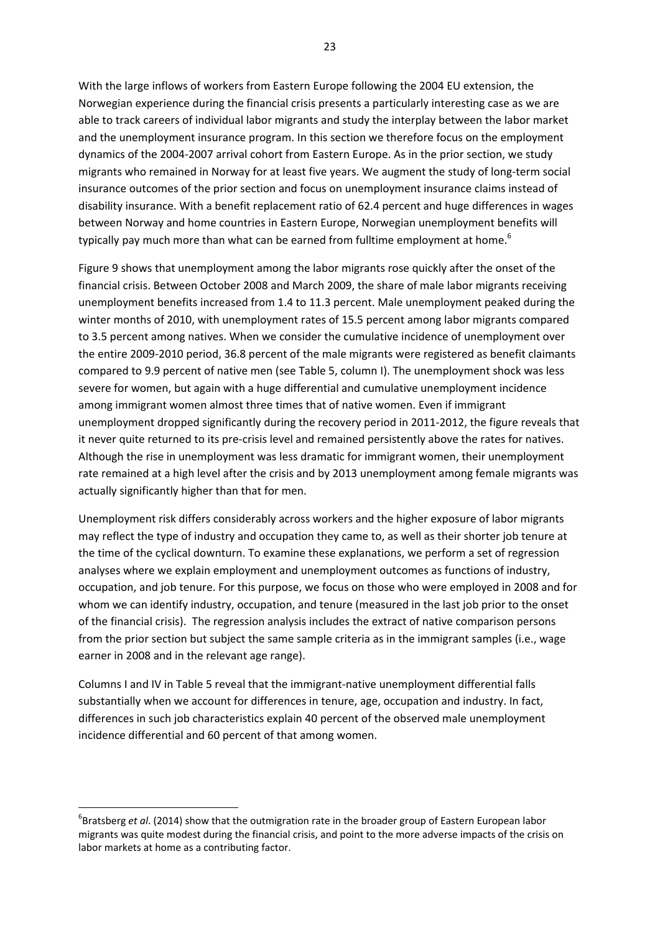With the large inflows of workers from Eastern Europe following the 2004 EU extension, the Norwegian experience during the financial crisis presents a particularly interesting case as we are able to track careers of individual labor migrants and study the interplay between the labor market and the unemployment insurance program. In this section we therefore focus on the employment dynamics of the 2004‐2007 arrival cohort from Eastern Europe. As in the prior section, we study migrants who remained in Norway for at least five years. We augment the study of long‐term social insurance outcomes of the prior section and focus on unemployment insurance claims instead of disability insurance. With a benefit replacement ratio of 62.4 percent and huge differences in wages between Norway and home countries in Eastern Europe, Norwegian unemployment benefits will typically pay much more than what can be earned from fulltime employment at home.<sup>6</sup>

Figure 9 shows that unemployment among the labor migrants rose quickly after the onset of the financial crisis. Between October 2008 and March 2009, the share of male labor migrants receiving unemployment benefits increased from 1.4 to 11.3 percent. Male unemployment peaked during the winter months of 2010, with unemployment rates of 15.5 percent among labor migrants compared to 3.5 percent among natives. When we consider the cumulative incidence of unemployment over the entire 2009‐2010 period, 36.8 percent of the male migrants were registered as benefit claimants compared to 9.9 percent of native men (see Table 5, column I). The unemployment shock was less severe for women, but again with a huge differential and cumulative unemployment incidence among immigrant women almost three times that of native women. Even if immigrant unemployment dropped significantly during the recovery period in 2011‐2012, the figure reveals that it never quite returned to its pre‐crisis level and remained persistently above the rates for natives. Although the rise in unemployment was less dramatic for immigrant women, their unemployment rate remained at a high level after the crisis and by 2013 unemployment among female migrants was actually significantly higher than that for men.

Unemployment risk differs considerably across workers and the higher exposure of labor migrants may reflect the type of industry and occupation they came to, as well as their shorter job tenure at the time of the cyclical downturn. To examine these explanations, we perform a set of regression analyses where we explain employment and unemployment outcomes as functions of industry, occupation, and job tenure. For this purpose, we focus on those who were employed in 2008 and for whom we can identify industry, occupation, and tenure (measured in the last job prior to the onset of the financial crisis). The regression analysis includes the extract of native comparison persons from the prior section but subject the same sample criteria as in the immigrant samples (i.e., wage earner in 2008 and in the relevant age range).

Columns I and IV in Table 5 reveal that the immigrant‐native unemployment differential falls substantially when we account for differences in tenure, age, occupation and industry. In fact, differences in such job characteristics explain 40 percent of the observed male unemployment incidence differential and 60 percent of that among women.

<sup>6</sup> Bratsberg *et al*. (2014) show that the outmigration rate in the broader group of Eastern European labor migrants was quite modest during the financial crisis, and point to the more adverse impacts of the crisis on labor markets at home as a contributing factor.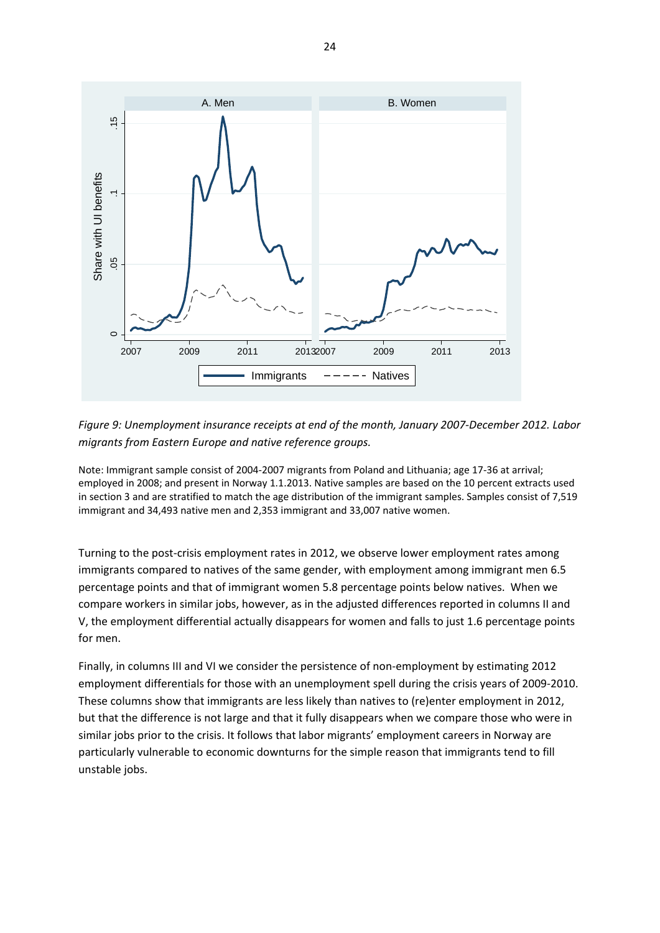

*Figure 9: Unemployment insurance receipts at end of the month, January 2007‐December 2012. Labor migrants from Eastern Europe and native reference groups.*

Note: Immigrant sample consist of 2004‐2007 migrants from Poland and Lithuania; age 17‐36 at arrival; employed in 2008; and present in Norway 1.1.2013. Native samples are based on the 10 percent extracts used in section 3 and are stratified to match the age distribution of the immigrant samples. Samples consist of 7,519 immigrant and 34,493 native men and 2,353 immigrant and 33,007 native women.

Turning to the post-crisis employment rates in 2012, we observe lower employment rates among immigrants compared to natives of the same gender, with employment among immigrant men 6.5 percentage points and that of immigrant women 5.8 percentage points below natives. When we compare workers in similar jobs, however, as in the adjusted differences reported in columns II and V, the employment differential actually disappears for women and falls to just 1.6 percentage points for men.

Finally, in columns III and VI we consider the persistence of non‐employment by estimating 2012 employment differentials for those with an unemployment spell during the crisis years of 2009‐2010. These columns show that immigrants are less likely than natives to (re)enter employment in 2012, but that the difference is not large and that it fully disappears when we compare those who were in similar jobs prior to the crisis. It follows that labor migrants' employment careers in Norway are particularly vulnerable to economic downturns for the simple reason that immigrants tend to fill unstable jobs.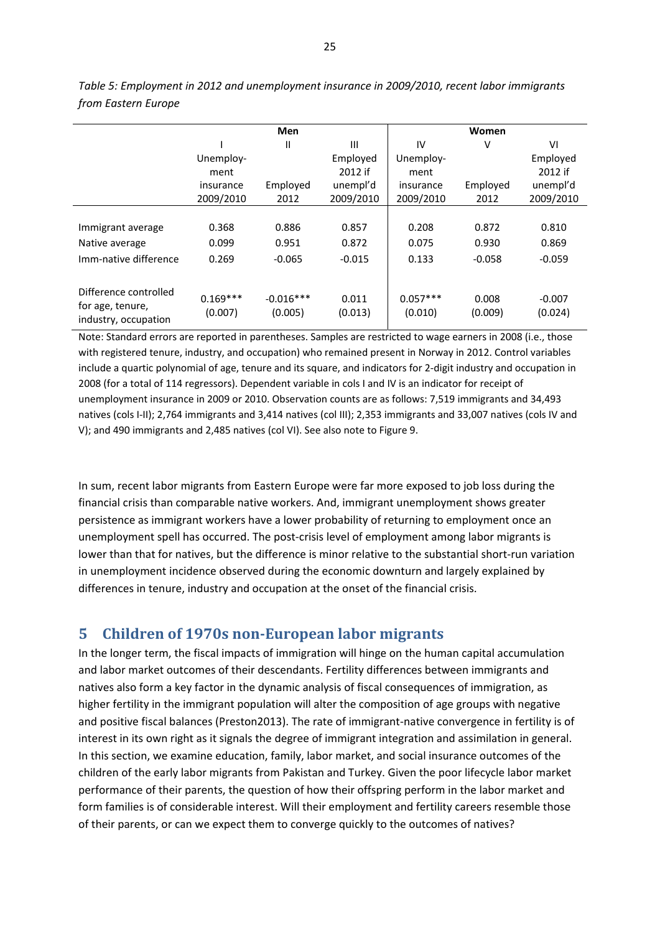|                                                                   |                       | <b>Men</b>             |                  |                       | Women            |                     |  |
|-------------------------------------------------------------------|-----------------------|------------------------|------------------|-----------------------|------------------|---------------------|--|
|                                                                   |                       | Ш                      | Ш                | IV                    | V                | VI                  |  |
|                                                                   | Unemploy-             |                        | Employed         | Unemploy-             |                  | Employed            |  |
|                                                                   | ment                  |                        | 2012 if          | ment                  |                  | 2012 if             |  |
|                                                                   | insurance             | Employed               | unempl'd         | insurance             | Employed         | unempl'd            |  |
|                                                                   | 2009/2010             | 2012                   | 2009/2010        | 2009/2010             | 2012             | 2009/2010           |  |
|                                                                   |                       |                        |                  |                       |                  |                     |  |
| Immigrant average                                                 | 0.368                 | 0.886                  | 0.857            | 0.208                 | 0.872            | 0.810               |  |
| Native average                                                    | 0.099                 | 0.951                  | 0.872            | 0.075                 | 0.930            | 0.869               |  |
| Imm-native difference                                             | 0.269                 | $-0.065$               | $-0.015$         | 0.133                 | $-0.058$         | $-0.059$            |  |
| Difference controlled<br>for age, tenure,<br>industry, occupation | $0.169***$<br>(0.007) | $-0.016***$<br>(0.005) | 0.011<br>(0.013) | $0.057***$<br>(0.010) | 0.008<br>(0.009) | $-0.007$<br>(0.024) |  |

*Table 5: Employment in 2012 and unemployment insurance in 2009/2010, recent labor immigrants from Eastern Europe*

Note: Standard errors are reported in parentheses. Samples are restricted to wage earners in 2008 (i.e., those with registered tenure, industry, and occupation) who remained present in Norway in 2012. Control variables include a quartic polynomial of age, tenure and its square, and indicators for 2‐digit industry and occupation in 2008 (for a total of 114 regressors). Dependent variable in cols I and IV is an indicator for receipt of unemployment insurance in 2009 or 2010. Observation counts are as follows: 7,519 immigrants and 34,493 natives (cols I‐II); 2,764 immigrants and 3,414 natives (col III); 2,353 immigrants and 33,007 natives (cols IV and V); and 490 immigrants and 2,485 natives (col VI). See also note to Figure 9.

In sum, recent labor migrants from Eastern Europe were far more exposed to job loss during the financial crisis than comparable native workers. And, immigrant unemployment shows greater persistence as immigrant workers have a lower probability of returning to employment once an unemployment spell has occurred. The post-crisis level of employment among labor migrants is lower than that for natives, but the difference is minor relative to the substantial short‐run variation in unemployment incidence observed during the economic downturn and largely explained by differences in tenure, industry and occupation at the onset of the financial crisis.

#### **5 Children of 1970s non‐European labor migrants**

In the longer term, the fiscal impacts of immigration will hinge on the human capital accumulation and labor market outcomes of their descendants. Fertility differences between immigrants and natives also form a key factor in the dynamic analysis of fiscal consequences of immigration, as higher fertility in the immigrant population will alter the composition of age groups with negative and positive fiscal balances (Preston2013). The rate of immigrant‐native convergence in fertility is of interest in its own right as it signals the degree of immigrant integration and assimilation in general. In this section, we examine education, family, labor market, and social insurance outcomes of the children of the early labor migrants from Pakistan and Turkey. Given the poor lifecycle labor market performance of their parents, the question of how their offspring perform in the labor market and form families is of considerable interest. Will their employment and fertility careers resemble those of their parents, or can we expect them to converge quickly to the outcomes of natives?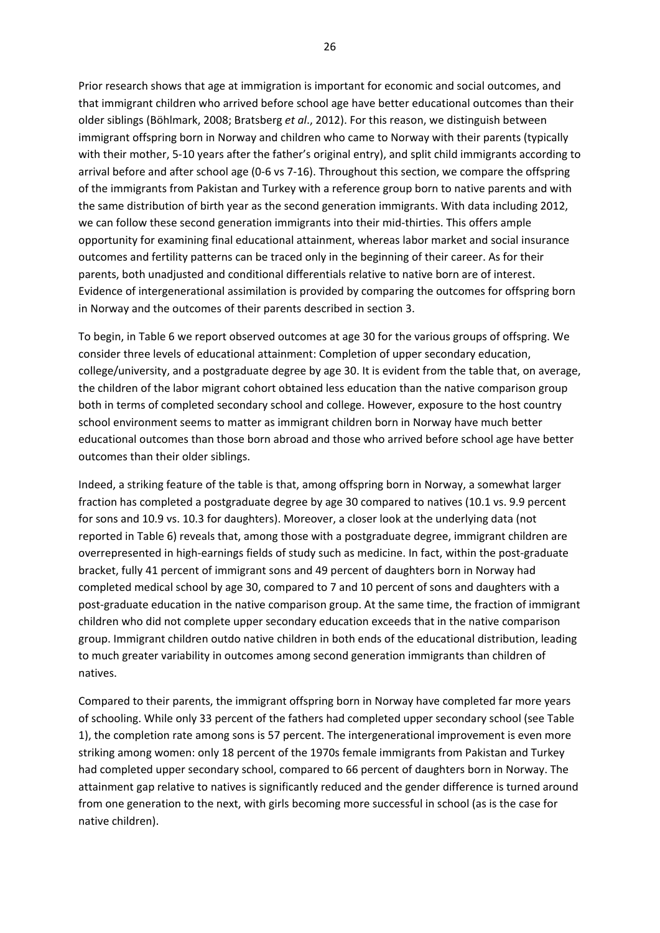Prior research shows that age at immigration is important for economic and social outcomes, and that immigrant children who arrived before school age have better educational outcomes than their older siblings (Böhlmark, 2008; Bratsberg *et al*., 2012). For this reason, we distinguish between immigrant offspring born in Norway and children who came to Norway with their parents (typically with their mother, 5-10 years after the father's original entry), and split child immigrants according to arrival before and after school age (0‐6 vs 7‐16). Throughout this section, we compare the offspring of the immigrants from Pakistan and Turkey with a reference group born to native parents and with the same distribution of birth year as the second generation immigrants. With data including 2012, we can follow these second generation immigrants into their mid-thirties. This offers ample opportunity for examining final educational attainment, whereas labor market and social insurance outcomes and fertility patterns can be traced only in the beginning of their career. As for their parents, both unadjusted and conditional differentials relative to native born are of interest. Evidence of intergenerational assimilation is provided by comparing the outcomes for offspring born in Norway and the outcomes of their parents described in section 3.

To begin, in Table 6 we report observed outcomes at age 30 for the various groups of offspring. We consider three levels of educational attainment: Completion of upper secondary education, college/university, and a postgraduate degree by age 30. It is evident from the table that, on average, the children of the labor migrant cohort obtained less education than the native comparison group both in terms of completed secondary school and college. However, exposure to the host country school environment seems to matter as immigrant children born in Norway have much better educational outcomes than those born abroad and those who arrived before school age have better outcomes than their older siblings.

Indeed, a striking feature of the table is that, among offspring born in Norway, a somewhat larger fraction has completed a postgraduate degree by age 30 compared to natives (10.1 vs. 9.9 percent for sons and 10.9 vs. 10.3 for daughters). Moreover, a closer look at the underlying data (not reported in Table 6) reveals that, among those with a postgraduate degree, immigrant children are overrepresented in high‐earnings fields of study such as medicine. In fact, within the post‐graduate bracket, fully 41 percent of immigrant sons and 49 percent of daughters born in Norway had completed medical school by age 30, compared to 7 and 10 percent of sons and daughters with a post-graduate education in the native comparison group. At the same time, the fraction of immigrant children who did not complete upper secondary education exceeds that in the native comparison group. Immigrant children outdo native children in both ends of the educational distribution, leading to much greater variability in outcomes among second generation immigrants than children of natives.

Compared to their parents, the immigrant offspring born in Norway have completed far more years of schooling. While only 33 percent of the fathers had completed upper secondary school (see Table 1), the completion rate among sons is 57 percent. The intergenerational improvement is even more striking among women: only 18 percent of the 1970s female immigrants from Pakistan and Turkey had completed upper secondary school, compared to 66 percent of daughters born in Norway. The attainment gap relative to natives is significantly reduced and the gender difference is turned around from one generation to the next, with girls becoming more successful in school (as is the case for native children).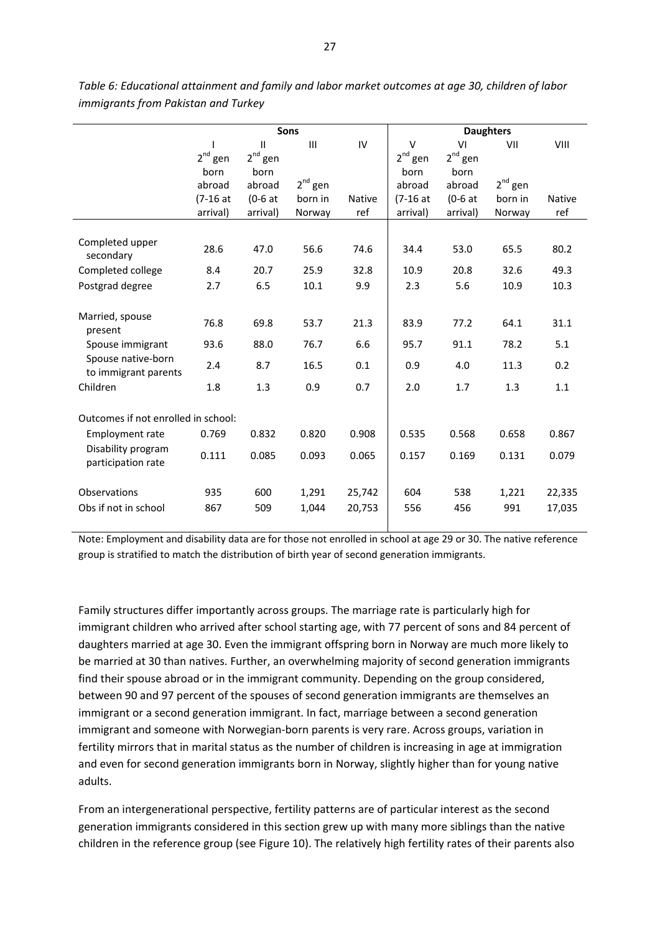|                                            | Sons         |               |              |               | <b>Daughters</b> |              |              |               |
|--------------------------------------------|--------------|---------------|--------------|---------------|------------------|--------------|--------------|---------------|
|                                            |              | $\mathbf{II}$ | Ш            | IV            | V                | VI           | VII          | VIII          |
|                                            | $2^{nd}$ gen | $2^{nd}$ gen  |              |               | $2^{nd}$ gen     | $2^{nd}$ gen |              |               |
|                                            | born         | born          |              |               | born             | born         |              |               |
|                                            | abroad       | abroad        | $2^{nd}$ gen |               | abroad           | abroad       | $2^{nd}$ gen |               |
|                                            | $(7-16at$    | $(0-6at)$     | born in      | <b>Native</b> | $(7-16at$        | $(0-6at)$    | born in      | <b>Native</b> |
|                                            | arrival)     | arrival)      | Norway       | ref           | arrival)         | arrival)     | Norway       | ref           |
|                                            |              |               |              |               |                  |              |              |               |
| Completed upper<br>secondary               | 28.6         | 47.0          | 56.6         | 74.6          | 34.4             | 53.0         | 65.5         | 80.2          |
| Completed college                          | 8.4          | 20.7          | 25.9         | 32.8          | 10.9             | 20.8         | 32.6         | 49.3          |
| Postgrad degree                            | 2.7          | 6.5           | 10.1         | 9.9           | 2.3              | 5.6          | 10.9         | 10.3          |
|                                            |              |               |              |               |                  |              |              |               |
| Married, spouse<br>present                 | 76.8         | 69.8          | 53.7         | 21.3          | 83.9             | 77.2         | 64.1         | 31.1          |
| Spouse immigrant                           | 93.6         | 88.0          | 76.7         | 6.6           | 95.7             | 91.1         | 78.2         | 5.1           |
| Spouse native-born<br>to immigrant parents | 2.4          | 8.7           | 16.5         | 0.1           | 0.9              | 4.0          | 11.3         | 0.2           |
| Children                                   | 1.8          | 1.3           | 0.9          | 0.7           | 2.0              | 1.7          | 1.3          | 1.1           |
|                                            |              |               |              |               |                  |              |              |               |
| Outcomes if not enrolled in school:        |              |               |              |               |                  |              |              |               |
| <b>Employment rate</b>                     | 0.769        | 0.832         | 0.820        | 0.908         | 0.535            | 0.568        | 0.658        | 0.867         |
| Disability program<br>participation rate   | 0.111        | 0.085         | 0.093        | 0.065         | 0.157            | 0.169        | 0.131        | 0.079         |
| Observations                               | 935          | 600           | 1,291        | 25,742        | 604              | 538          | 1,221        | 22,335        |
| Obs if not in school                       | 867          | 509           | 1,044        | 20,753        | 556              | 456          | 991          | 17,035        |
|                                            |              |               |              |               |                  |              |              |               |

*Table 6: Educational attainment and family and labor market outcomes at age 30, children of labor immigrants from Pakistan and Turkey*

Note: Employment and disability data are for those not enrolled in school at age 29 or 30. The native reference group is stratified to match the distribution of birth year of second generation immigrants.

Family structures differ importantly across groups. The marriage rate is particularly high for immigrant children who arrived after school starting age, with 77 percent of sons and 84 percent of daughters married at age 30. Even the immigrant offspring born in Norway are much more likely to be married at 30 than natives. Further, an overwhelming majority of second generation immigrants find their spouse abroad or in the immigrant community. Depending on the group considered, between 90 and 97 percent of the spouses of second generation immigrants are themselves an immigrant or a second generation immigrant. In fact, marriage between a second generation immigrant and someone with Norwegian-born parents is very rare. Across groups, variation in fertility mirrors that in marital status as the number of children is increasing in age at immigration and even for second generation immigrants born in Norway, slightly higher than for young native adults.

From an intergenerational perspective, fertility patterns are of particular interest as the second generation immigrants considered in this section grew up with many more siblings than the native children in the reference group (see Figure 10). The relatively high fertility rates of their parents also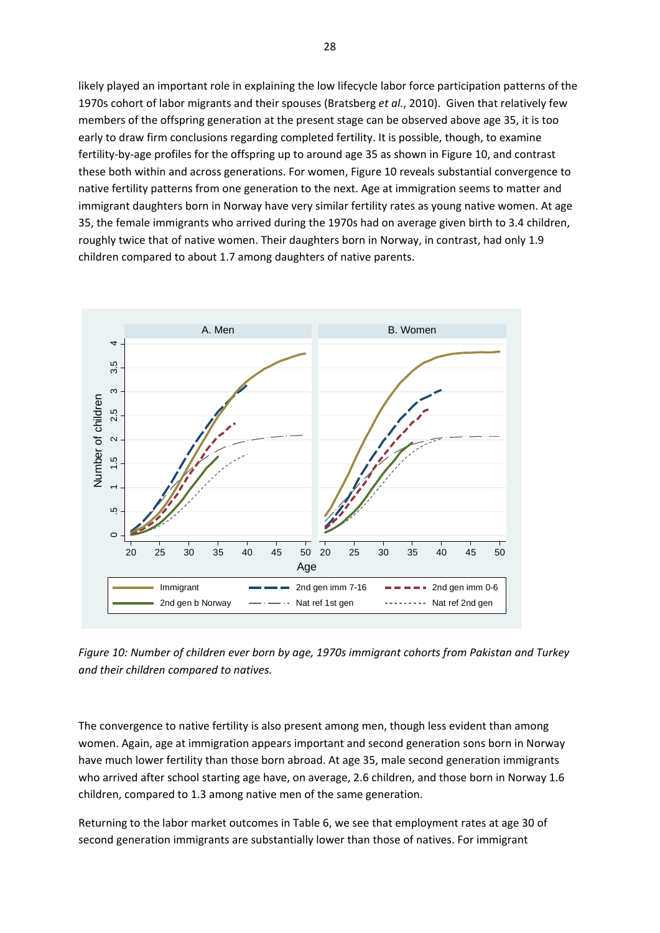likely played an important role in explaining the low lifecycle labor force participation patterns of the 1970s cohort of labor migrants and their spouses (Bratsberg *et al.*, 2010). Given that relatively few members of the offspring generation at the present stage can be observed above age 35, it is too early to draw firm conclusions regarding completed fertility. It is possible, though, to examine fertility‐by‐age profiles for the offspring up to around age 35 as shown in Figure 10, and contrast these both within and across generations. For women, Figure 10 reveals substantial convergence to native fertility patterns from one generation to the next. Age at immigration seems to matter and immigrant daughters born in Norway have very similar fertility rates as young native women. At age 35, the female immigrants who arrived during the 1970s had on average given birth to 3.4 children, roughly twice that of native women. Their daughters born in Norway, in contrast, had only 1.9 children compared to about 1.7 among daughters of native parents.



*Figure 10: Number of children ever born by age, 1970s immigrant cohorts from Pakistan and Turkey and their children compared to natives.* 

The convergence to native fertility is also present among men, though less evident than among women. Again, age at immigration appears important and second generation sons born in Norway have much lower fertility than those born abroad. At age 35, male second generation immigrants who arrived after school starting age have, on average, 2.6 children, and those born in Norway 1.6 children, compared to 1.3 among native men of the same generation.

Returning to the labor market outcomes in Table 6, we see that employment rates at age 30 of second generation immigrants are substantially lower than those of natives. For immigrant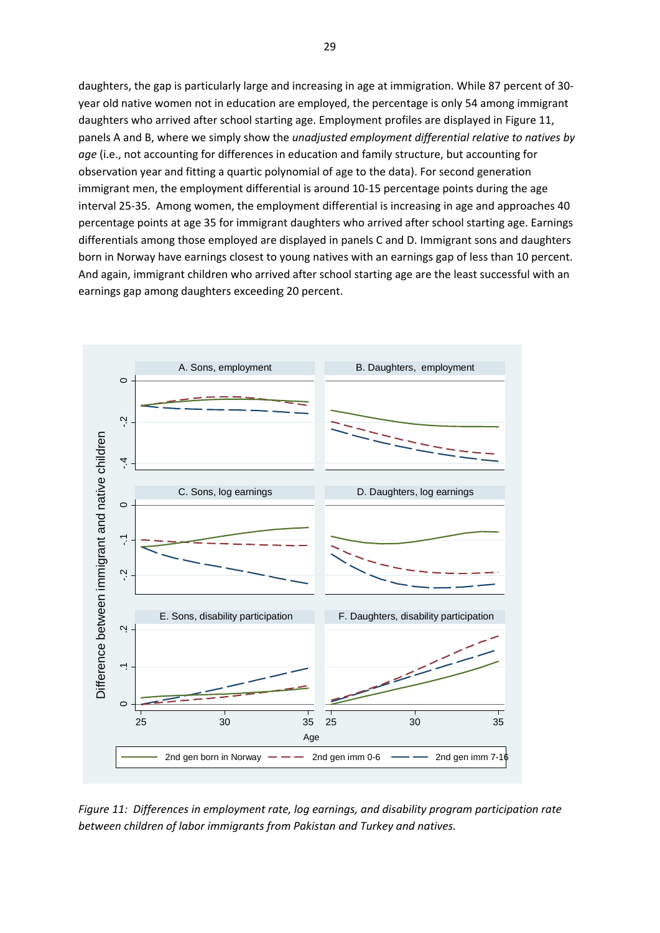daughters, the gap is particularly large and increasing in age at immigration. While 87 percent of 30‐ year old native women not in education are employed, the percentage is only 54 among immigrant daughters who arrived after school starting age. Employment profiles are displayed in Figure 11, panels A and B, where we simply show the *unadjusted employment differential relative to natives by age* (i.e., not accounting for differences in education and family structure, but accounting for observation year and fitting a quartic polynomial of age to the data). For second generation immigrant men, the employment differential is around 10‐15 percentage points during the age interval 25‐35. Among women, the employment differential is increasing in age and approaches 40 percentage points at age 35 for immigrant daughters who arrived after school starting age. Earnings differentials among those employed are displayed in panels C and D. Immigrant sons and daughters born in Norway have earnings closest to young natives with an earnings gap of less than 10 percent. And again, immigrant children who arrived after school starting age are the least successful with an earnings gap among daughters exceeding 20 percent.



*Figure 11: Differences in employment rate, log earnings, and disability program participation rate*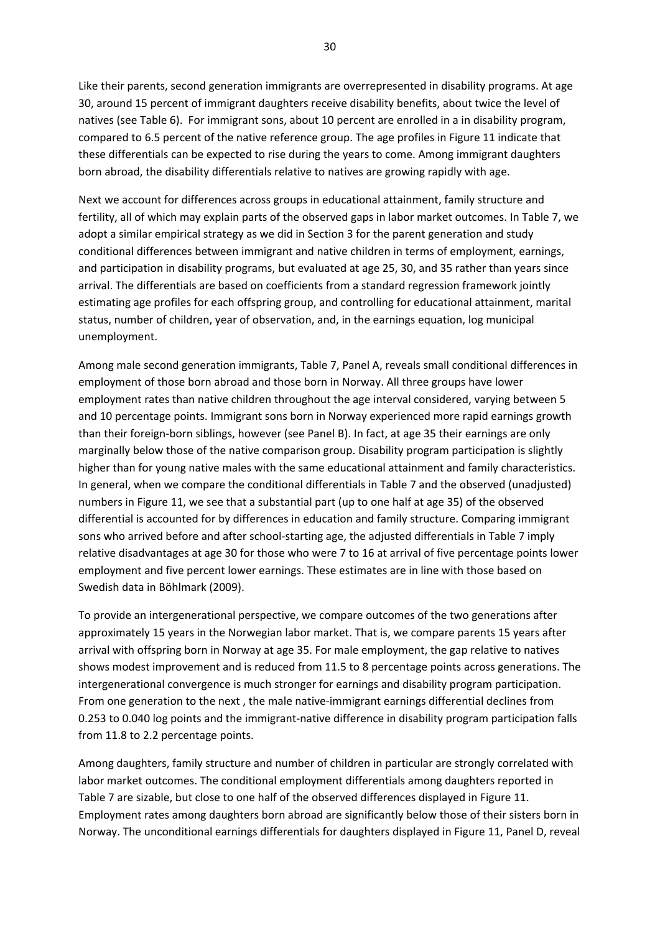Like their parents, second generation immigrants are overrepresented in disability programs. At age 30, around 15 percent of immigrant daughters receive disability benefits, about twice the level of natives (see Table 6). For immigrant sons, about 10 percent are enrolled in a in disability program, compared to 6.5 percent of the native reference group. The age profiles in Figure 11 indicate that these differentials can be expected to rise during the years to come. Among immigrant daughters born abroad, the disability differentials relative to natives are growing rapidly with age.

Next we account for differences across groups in educational attainment, family structure and fertility, all of which may explain parts of the observed gaps in labor market outcomes. In Table 7, we adopt a similar empirical strategy as we did in Section 3 for the parent generation and study conditional differences between immigrant and native children in terms of employment, earnings, and participation in disability programs, but evaluated at age 25, 30, and 35 rather than years since arrival. The differentials are based on coefficients from a standard regression framework jointly estimating age profiles for each offspring group, and controlling for educational attainment, marital status, number of children, year of observation, and, in the earnings equation, log municipal unemployment.

Among male second generation immigrants, Table 7, Panel A, reveals small conditional differences in employment of those born abroad and those born in Norway. All three groups have lower employment rates than native children throughout the age interval considered, varying between 5 and 10 percentage points. Immigrant sons born in Norway experienced more rapid earnings growth than their foreign‐born siblings, however (see Panel B). In fact, at age 35 their earnings are only marginally below those of the native comparison group. Disability program participation is slightly higher than for young native males with the same educational attainment and family characteristics. In general, when we compare the conditional differentials in Table 7 and the observed (unadjusted) numbers in Figure 11, we see that a substantial part (up to one half at age 35) of the observed differential is accounted for by differences in education and family structure. Comparing immigrant sons who arrived before and after school-starting age, the adjusted differentials in Table 7 imply relative disadvantages at age 30 for those who were 7 to 16 at arrival of five percentage points lower employment and five percent lower earnings. These estimates are in line with those based on Swedish data in Böhlmark (2009).

To provide an intergenerational perspective, we compare outcomes of the two generations after approximately 15 years in the Norwegian labor market. That is, we compare parents 15 years after arrival with offspring born in Norway at age 35. For male employment, the gap relative to natives shows modest improvement and is reduced from 11.5 to 8 percentage points across generations. The intergenerational convergence is much stronger for earnings and disability program participation. From one generation to the next , the male native‐immigrant earnings differential declines from 0.253 to 0.040 log points and the immigrant-native difference in disability program participation falls from 11.8 to 2.2 percentage points.

Among daughters, family structure and number of children in particular are strongly correlated with labor market outcomes. The conditional employment differentials among daughters reported in Table 7 are sizable, but close to one half of the observed differences displayed in Figure 11. Employment rates among daughters born abroad are significantly below those of their sisters born in Norway. The unconditional earnings differentials for daughters displayed in Figure 11, Panel D, reveal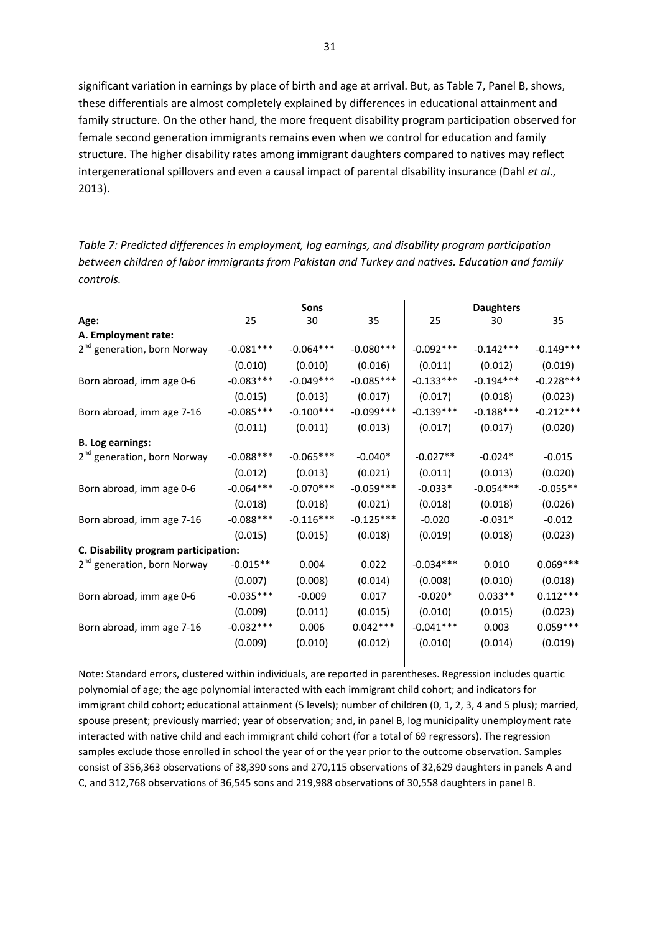significant variation in earnings by place of birth and age at arrival. But, as Table 7, Panel B, shows, these differentials are almost completely explained by differences in educational attainment and family structure. On the other hand, the more frequent disability program participation observed for female second generation immigrants remains even when we control for education and family structure. The higher disability rates among immigrant daughters compared to natives may reflect intergenerational spillovers and even a causal impact of parental disability insurance (Dahl *et al*., 2013).

*Table 7: Predicted differences in employment, log earnings, and disability program participation between children of labor immigrants from Pakistan and Turkey and natives. Education and family controls.* 

|                                         |              | <b>Sons</b> |             |             | <b>Daughters</b> |             |
|-----------------------------------------|--------------|-------------|-------------|-------------|------------------|-------------|
| Age:                                    | 25           | 30          | 35          | 25          | 30               | 35          |
| A. Employment rate:                     |              |             |             |             |                  |             |
| 2 <sup>nd</sup> generation, born Norway | $-0.081***$  | $-0.064***$ | $-0.080***$ | $-0.092***$ | $-0.142***$      | $-0.149***$ |
|                                         | (0.010)      | (0.010)     | (0.016)     | (0.011)     | (0.012)          | (0.019)     |
| Born abroad, imm age 0-6                | $-0.083***$  | $-0.049***$ | $-0.085***$ | $-0.133***$ | $-0.194***$      | $-0.228***$ |
|                                         | (0.015)      | (0.013)     | (0.017)     | (0.017)     | (0.018)          | (0.023)     |
| Born abroad, imm age 7-16               | $-0.085***$  | $-0.100***$ | $-0.099***$ | $-0.139***$ | $-0.188***$      | $-0.212***$ |
|                                         | (0.011)      | (0.011)     | (0.013)     | (0.017)     | (0.017)          | (0.020)     |
| <b>B. Log earnings:</b>                 |              |             |             |             |                  |             |
| 2 <sup>nd</sup> generation, born Norway | $-0.088$ *** | $-0.065***$ | $-0.040*$   | $-0.027**$  | $-0.024*$        | $-0.015$    |
|                                         | (0.012)      | (0.013)     | (0.021)     | (0.011)     | (0.013)          | (0.020)     |
| Born abroad, imm age 0-6                | $-0.064***$  | $-0.070***$ | $-0.059***$ | $-0.033*$   | $-0.054***$      | $-0.055**$  |
|                                         | (0.018)      | (0.018)     | (0.021)     | (0.018)     | (0.018)          | (0.026)     |
| Born abroad, imm age 7-16               | $-0.088***$  | $-0.116***$ | $-0.125***$ | $-0.020$    | $-0.031*$        | $-0.012$    |
|                                         | (0.015)      | (0.015)     | (0.018)     | (0.019)     | (0.018)          | (0.023)     |
| C. Disability program participation:    |              |             |             |             |                  |             |
| 2 <sup>nd</sup> generation, born Norway | $-0.015**$   | 0.004       | 0.022       | $-0.034***$ | 0.010            | $0.069***$  |
|                                         | (0.007)      | (0.008)     | (0.014)     | (0.008)     | (0.010)          | (0.018)     |
| Born abroad, imm age 0-6                | $-0.035***$  | $-0.009$    | 0.017       | $-0.020*$   | $0.033**$        | $0.112***$  |
|                                         | (0.009)      | (0.011)     | (0.015)     | (0.010)     | (0.015)          | (0.023)     |
| Born abroad, imm age 7-16               | $-0.032***$  | 0.006       | $0.042***$  | $-0.041***$ | 0.003            | $0.059***$  |
|                                         | (0.009)      | (0.010)     | (0.012)     | (0.010)     | (0.014)          | (0.019)     |
|                                         |              |             |             |             |                  |             |

Note: Standard errors, clustered within individuals, are reported in parentheses. Regression includes quartic polynomial of age; the age polynomial interacted with each immigrant child cohort; and indicators for immigrant child cohort; educational attainment (5 levels); number of children (0, 1, 2, 3, 4 and 5 plus); married, spouse present; previously married; year of observation; and, in panel B, log municipality unemployment rate interacted with native child and each immigrant child cohort (for a total of 69 regressors). The regression samples exclude those enrolled in school the year of or the year prior to the outcome observation. Samples consist of 356,363 observations of 38,390 sons and 270,115 observations of 32,629 daughters in panels A and C, and 312,768 observations of 36,545 sons and 219,988 observations of 30,558 daughters in panel B.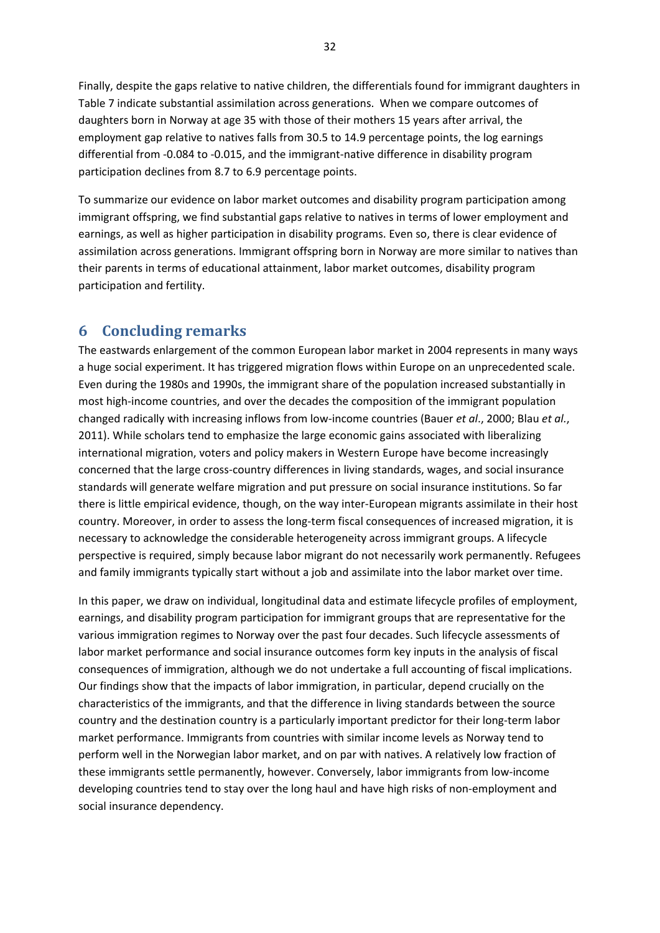Finally, despite the gaps relative to native children, the differentials found for immigrant daughters in Table 7 indicate substantial assimilation across generations. When we compare outcomes of daughters born in Norway at age 35 with those of their mothers 15 years after arrival, the employment gap relative to natives falls from 30.5 to 14.9 percentage points, the log earnings differential from ‐0.084 to ‐0.015, and the immigrant‐native difference in disability program participation declines from 8.7 to 6.9 percentage points.

To summarize our evidence on labor market outcomes and disability program participation among immigrant offspring, we find substantial gaps relative to natives in terms of lower employment and earnings, as well as higher participation in disability programs. Even so, there is clear evidence of assimilation across generations. Immigrant offspring born in Norway are more similar to natives than their parents in terms of educational attainment, labor market outcomes, disability program participation and fertility.

#### **6 Concluding remarks**

The eastwards enlargement of the common European labor market in 2004 represents in many ways a huge social experiment. It has triggered migration flows within Europe on an unprecedented scale. Even during the 1980s and 1990s, the immigrant share of the population increased substantially in most high-income countries, and over the decades the composition of the immigrant population changed radically with increasing inflows from low‐income countries (Bauer *et al*., 2000; Blau *et al.*, 2011). While scholars tend to emphasize the large economic gains associated with liberalizing international migration, voters and policy makers in Western Europe have become increasingly concerned that the large cross‐country differences in living standards, wages, and social insurance standards will generate welfare migration and put pressure on social insurance institutions. So far there is little empirical evidence, though, on the way inter‐European migrants assimilate in their host country. Moreover, in order to assess the long-term fiscal consequences of increased migration, it is necessary to acknowledge the considerable heterogeneity across immigrant groups. A lifecycle perspective is required, simply because labor migrant do not necessarily work permanently. Refugees and family immigrants typically start without a job and assimilate into the labor market over time.

In this paper, we draw on individual, longitudinal data and estimate lifecycle profiles of employment, earnings, and disability program participation for immigrant groups that are representative for the various immigration regimes to Norway over the past four decades. Such lifecycle assessments of labor market performance and social insurance outcomes form key inputs in the analysis of fiscal consequences of immigration, although we do not undertake a full accounting of fiscal implications. Our findings show that the impacts of labor immigration, in particular, depend crucially on the characteristics of the immigrants, and that the difference in living standards between the source country and the destination country is a particularly important predictor for their long-term labor market performance. Immigrants from countries with similar income levels as Norway tend to perform well in the Norwegian labor market, and on par with natives. A relatively low fraction of these immigrants settle permanently, however. Conversely, labor immigrants from low‐income developing countries tend to stay over the long haul and have high risks of non‐employment and social insurance dependency.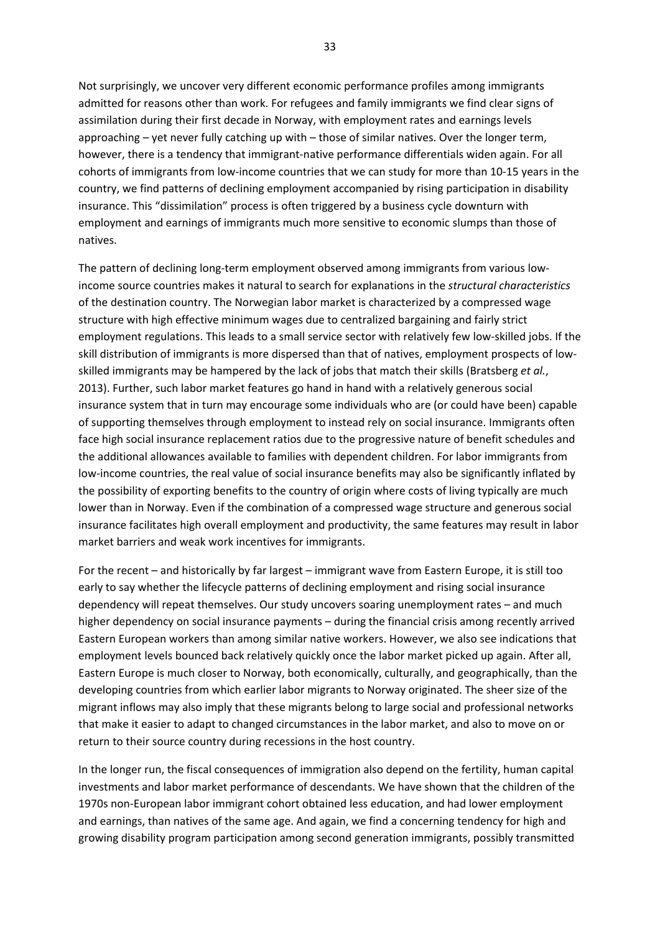Not surprisingly, we uncover very different economic performance profiles among immigrants admitted for reasons other than work. For refugees and family immigrants we find clear signs of assimilation during their first decade in Norway, with employment rates and earnings levels approaching – yet never fully catching up with – those of similar natives. Over the longer term, however, there is a tendency that immigrant-native performance differentials widen again. For all cohorts of immigrants from low‐income countries that we can study for more than 10‐15 years in the country, we find patterns of declining employment accompanied by rising participation in disability insurance. This "dissimilation" process is often triggered by a business cycle downturn with employment and earnings of immigrants much more sensitive to economic slumps than those of natives.

The pattern of declining long-term employment observed among immigrants from various lowincome source countries makes it natural to search for explanations in the *structural characteristics* of the destination country. The Norwegian labor market is characterized by a compressed wage structure with high effective minimum wages due to centralized bargaining and fairly strict employment regulations. This leads to a small service sector with relatively few low-skilled jobs. If the skill distribution of immigrants is more dispersed than that of natives, employment prospects of low‐ skilled immigrants may be hampered by the lack of jobs that match their skills (Bratsberg *et al.*, 2013). Further, such labor market features go hand in hand with a relatively generous social insurance system that in turn may encourage some individuals who are (or could have been) capable of supporting themselves through employment to instead rely on social insurance. Immigrants often face high social insurance replacement ratios due to the progressive nature of benefit schedules and the additional allowances available to families with dependent children. For labor immigrants from low-income countries, the real value of social insurance benefits may also be significantly inflated by the possibility of exporting benefits to the country of origin where costs of living typically are much lower than in Norway. Even if the combination of a compressed wage structure and generous social insurance facilitates high overall employment and productivity, the same features may result in labor market barriers and weak work incentives for immigrants.

For the recent – and historically by far largest – immigrant wave from Eastern Europe, it is still too early to say whether the lifecycle patterns of declining employment and rising social insurance dependency will repeat themselves. Our study uncovers soaring unemployment rates – and much higher dependency on social insurance payments – during the financial crisis among recently arrived Eastern European workers than among similar native workers. However, we also see indications that employment levels bounced back relatively quickly once the labor market picked up again. After all, Eastern Europe is much closer to Norway, both economically, culturally, and geographically, than the developing countries from which earlier labor migrants to Norway originated. The sheer size of the migrant inflows may also imply that these migrants belong to large social and professional networks that make it easier to adapt to changed circumstances in the labor market, and also to move on or return to their source country during recessions in the host country.

In the longer run, the fiscal consequences of immigration also depend on the fertility, human capital investments and labor market performance of descendants. We have shown that the children of the 1970s non‐European labor immigrant cohort obtained less education, and had lower employment and earnings, than natives of the same age. And again, we find a concerning tendency for high and growing disability program participation among second generation immigrants, possibly transmitted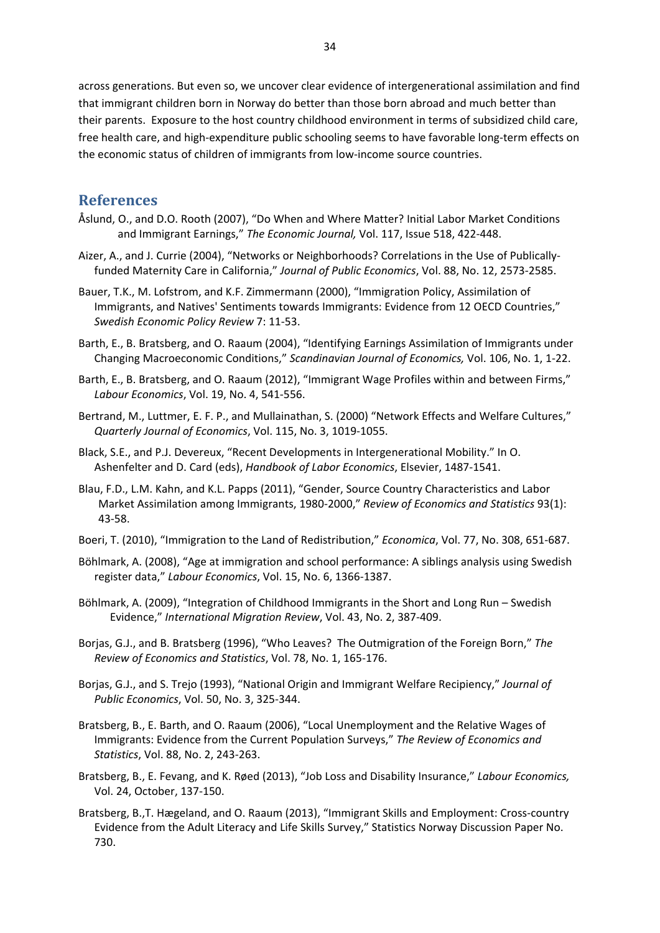across generations. But even so, we uncover clear evidence of intergenerational assimilation and find that immigrant children born in Norway do better than those born abroad and much better than their parents. Exposure to the host country childhood environment in terms of subsidized child care, free health care, and high‐expenditure public schooling seems to have favorable long‐term effects on the economic status of children of immigrants from low‐income source countries.

#### **References**

- Åslund, O., and D.O. Rooth (2007), "Do When and Where Matter? Initial Labor Market Conditions and Immigrant Earnings," *The Economic Journal,* Vol. 117, Issue 518, 422‐448.
- Aizer, A., and J. Currie (2004), "Networks or Neighborhoods? Correlations in the Use of Publically‐ funded Maternity Care in California," *Journal of Public Economics*, Vol. 88, No. 12, 2573‐2585.
- Bauer, T.K., M. Lofstrom, and K.F. Zimmermann (2000), "Immigration Policy, Assimilation of Immigrants, and Natives' Sentiments towards Immigrants: Evidence from 12 OECD Countries," *Swedish Economic Policy Review* 7: 11‐53.
- Barth, E., B. Bratsberg, and O. Raaum (2004), "Identifying Earnings Assimilation of Immigrants under Changing Macroeconomic Conditions," *Scandinavian Journal of Economics,* Vol. 106, No. 1, 1‐22.
- Barth, E., B. Bratsberg, and O. Raaum (2012), "Immigrant Wage Profiles within and between Firms," *Labour Economics*, Vol. 19, No. 4, 541‐556.
- Bertrand, M., Luttmer, E. F. P., and Mullainathan, S. (2000) "Network Effects and Welfare Cultures," *Quarterly Journal of Economics*, Vol. 115, No. 3, 1019‐1055.
- Black, S.E., and P.J. Devereux, "Recent Developments in Intergenerational Mobility." In O. Ashenfelter and D. Card (eds), *Handbook of Labor Economics*, Elsevier, 1487‐1541.
- Blau, F.D., L.M. Kahn, and K.L. Papps (2011), "Gender, Source Country Characteristics and Labor Market Assimilation among Immigrants, 1980‐2000," *Review of Economics and Statistics* 93(1): 43‐58.
- Boeri, T. (2010), "Immigration to the Land of Redistribution," *Economica*, Vol. 77, No. 308, 651‐687.
- Böhlmark, A. (2008), "Age at immigration and school performance: A siblings analysis using Swedish register data," *Labour Economics*, Vol. 15, No. 6, 1366‐1387.
- Böhlmark, A. (2009), "Integration of Childhood Immigrants in the Short and Long Run Swedish Evidence," *International Migration Review*, Vol. 43, No. 2, 387‐409.
- Borjas, G.J., and B. Bratsberg (1996), "Who Leaves? The Outmigration of the Foreign Born," *The Review of Economics and Statistics*, Vol. 78, No. 1, 165‐176.
- Borjas, G.J., and S. Trejo (1993), "National Origin and Immigrant Welfare Recipiency," *Journal of Public Economics*, Vol. 50, No. 3, 325‐344.
- Bratsberg, B., E. Barth, and O. Raaum (2006), "Local Unemployment and the Relative Wages of Immigrants: Evidence from the Current Population Surveys," *The Review of Economics and Statistics*, Vol. 88, No. 2, 243‐263.
- Bratsberg, B., E. Fevang, and K. Røed (2013), "Job Loss and Disability Insurance," *Labour Economics,* Vol. 24, October, 137‐150.
- Bratsberg, B.,T. Hægeland, and O. Raaum (2013), "Immigrant Skills and Employment: Cross‐country Evidence from the Adult Literacy and Life Skills Survey," Statistics Norway Discussion Paper No. 730.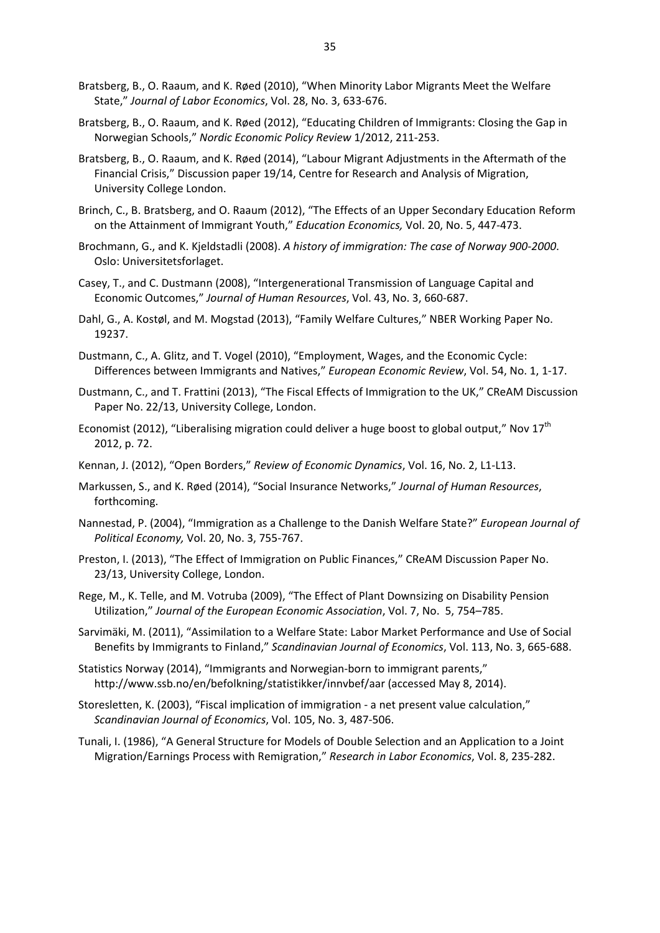- Bratsberg, B., O. Raaum, and K. Røed (2010), "When Minority Labor Migrants Meet the Welfare State," *Journal of Labor Economics*, Vol. 28, No. 3, 633‐676.
- Bratsberg, B., O. Raaum, and K. Røed (2012), "Educating Children of Immigrants: Closing the Gap in Norwegian Schools," *Nordic Economic Policy Review* 1/2012, 211‐253.
- Bratsberg, B., O. Raaum, and K. Røed (2014), "Labour Migrant Adjustments in the Aftermath of the Financial Crisis," Discussion paper 19/14, Centre for Research and Analysis of Migration, University College London.
- Brinch, C., B. Bratsberg, and O. Raaum (2012), "The Effects of an Upper Secondary Education Reform on the Attainment of Immigrant Youth," *Education Economics,* Vol. 20, No. 5, 447‐473.
- Brochmann, G., and K. Kjeldstadli (2008). *A history of immigration: The case of Norway 900‐2000*. Oslo: Universitetsforlaget.
- Casey, T., and C. Dustmann (2008), "Intergenerational Transmission of Language Capital and Economic Outcomes," *Journal of Human Resources*, Vol. 43, No. 3, 660‐687.
- Dahl, G., A. Kostøl, and M. Mogstad (2013), "Family Welfare Cultures," NBER Working Paper No. 19237.
- Dustmann, C., A. Glitz, and T. Vogel (2010), "Employment, Wages, and the Economic Cycle: Differences between Immigrants and Natives," *European Economic Review*, Vol. 54, No. 1, 1‐17.
- Dustmann, C., and T. Frattini (2013), "The Fiscal Effects of Immigration to the UK," CReAM Discussion Paper No. 22/13, University College, London.
- Economist (2012), "Liberalising migration could deliver a huge boost to global output," Nov  $17<sup>th</sup>$ 2012, p. 72.
- Kennan, J. (2012), "Open Borders," *Review of Economic Dynamics*, Vol. 16, No. 2, L1‐L13.
- Markussen, S., and K. Røed (2014), "Social Insurance Networks," *Journal of Human Resources*, forthcoming.
- Nannestad, P. (2004), "Immigration as a Challenge to the Danish Welfare State?" *European Journal of Political Economy,* Vol. 20, No. 3, 755‐767.
- Preston, I. (2013), "The Effect of Immigration on Public Finances," CReAM Discussion Paper No. 23/13, University College, London.
- Rege, M., K. Telle, and M. Votruba (2009), "The Effect of Plant Downsizing on Disability Pension Utilization," *Journal of the European Economic Association*, Vol. 7, No. 5, 754–785.
- Sarvimäki, M. (2011), "Assimilation to a Welfare State: Labor Market Performance and Use of Social Benefits by Immigrants to Finland," *Scandinavian Journal of Economics*, Vol. 113, No. 3, 665‐688.
- Statistics Norway (2014), "Immigrants and Norwegian‐born to immigrant parents," http://www.ssb.no/en/befolkning/statistikker/innvbef/aar (accessed May 8, 2014).
- Storesletten, K. (2003), "Fiscal implication of immigration ‐ a net present value calculation," *Scandinavian Journal of Economics*, Vol. 105, No. 3, 487‐506.
- Tunali, I. (1986), "A General Structure for Models of Double Selection and an Application to a Joint Migration/Earnings Process with Remigration," *Research in Labor Economics*, Vol. 8, 235‐282.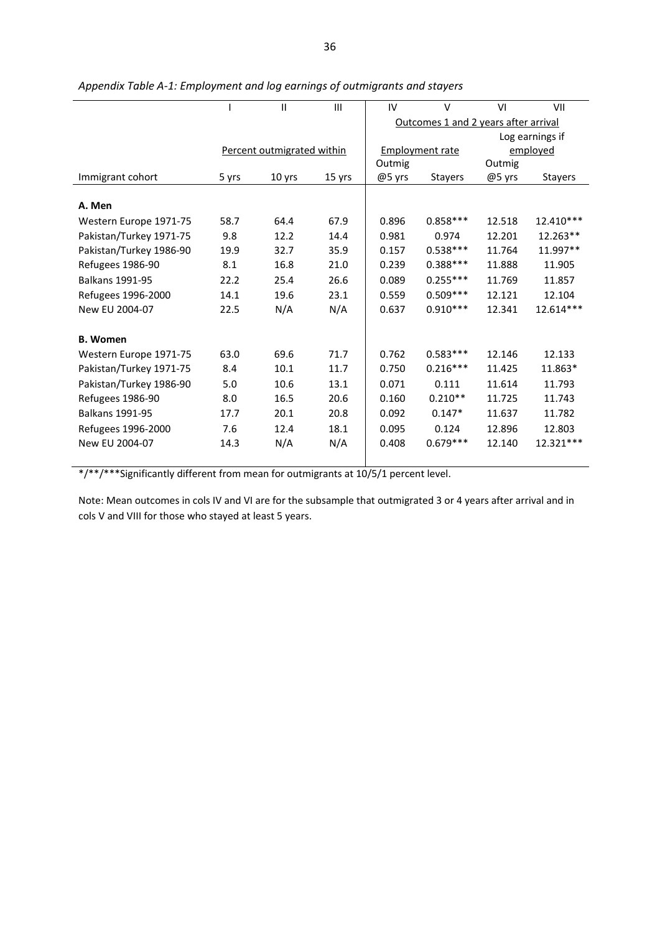|                         |       | $\mathsf{II}$              | Ш      | IV     | $\vee$                               | VI     | VII             |
|-------------------------|-------|----------------------------|--------|--------|--------------------------------------|--------|-----------------|
|                         |       |                            |        |        | Outcomes 1 and 2 years after arrival |        |                 |
|                         |       |                            |        |        |                                      |        | Log earnings if |
|                         |       | Percent outmigrated within |        |        | <b>Employment rate</b>               |        | employed        |
|                         |       |                            |        | Outmig |                                      | Outmig |                 |
| Immigrant cohort        | 5 yrs | 10 yrs                     | 15 yrs | @5 yrs | <b>Stayers</b>                       | @5 yrs | <b>Stayers</b>  |
|                         |       |                            |        |        |                                      |        |                 |
| A. Men                  |       |                            |        |        |                                      |        |                 |
| Western Europe 1971-75  | 58.7  | 64.4                       | 67.9   | 0.896  | $0.858***$                           | 12.518 | 12.410***       |
| Pakistan/Turkey 1971-75 | 9.8   | 12.2                       | 14.4   | 0.981  | 0.974                                | 12.201 | 12.263**        |
| Pakistan/Turkey 1986-90 | 19.9  | 32.7                       | 35.9   | 0.157  | $0.538***$                           | 11.764 | 11.997**        |
| Refugees 1986-90        | 8.1   | 16.8                       | 21.0   | 0.239  | $0.388***$                           | 11.888 | 11.905          |
| <b>Balkans 1991-95</b>  | 22.2  | 25.4                       | 26.6   | 0.089  | $0.255***$                           | 11.769 | 11.857          |
| Refugees 1996-2000      | 14.1  | 19.6                       | 23.1   | 0.559  | $0.509***$                           | 12.121 | 12.104          |
| New EU 2004-07          | 22.5  | N/A                        | N/A    | 0.637  | $0.910***$                           | 12.341 | 12.614***       |
|                         |       |                            |        |        |                                      |        |                 |
| <b>B. Women</b>         |       |                            |        |        |                                      |        |                 |
| Western Europe 1971-75  | 63.0  | 69.6                       | 71.7   | 0.762  | $0.583***$                           | 12.146 | 12.133          |
| Pakistan/Turkey 1971-75 | 8.4   | 10.1                       | 11.7   | 0.750  | $0.216***$                           | 11.425 | 11.863*         |
| Pakistan/Turkey 1986-90 | 5.0   | 10.6                       | 13.1   | 0.071  | 0.111                                | 11.614 | 11.793          |
| Refugees 1986-90        | 8.0   | 16.5                       | 20.6   | 0.160  | $0.210**$                            | 11.725 | 11.743          |
| <b>Balkans 1991-95</b>  | 17.7  | 20.1                       | 20.8   | 0.092  | $0.147*$                             | 11.637 | 11.782          |
| Refugees 1996-2000      | 7.6   | 12.4                       | 18.1   | 0.095  | 0.124                                | 12.896 | 12.803          |
| New EU 2004-07          | 14.3  | N/A                        | N/A    | 0.408  | $0.679***$                           | 12.140 | 12.321 ***      |
|                         |       |                            |        |        |                                      |        |                 |

|  | Appendix Table A-1: Employment and log earnings of outmigrants and stayers |  |  |  |
|--|----------------------------------------------------------------------------|--|--|--|
|  |                                                                            |  |  |  |
|  |                                                                            |  |  |  |

\*/\*\*/\*\*\*Significantly different from mean for outmigrants at 10/5/1 percent level.

Note: Mean outcomes in cols IV and VI are for the subsample that outmigrated 3 or 4 years after arrival and in cols V and VIII for those who stayed at least 5 years.